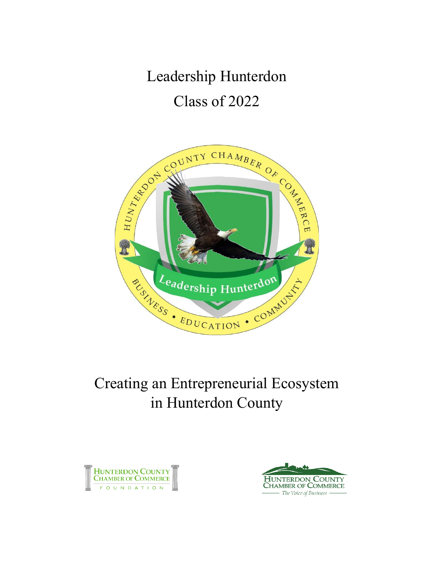# Leadership Hunterdon Class of 2022



# Creating an Entrepreneurial Ecosystem in Hunterdon County



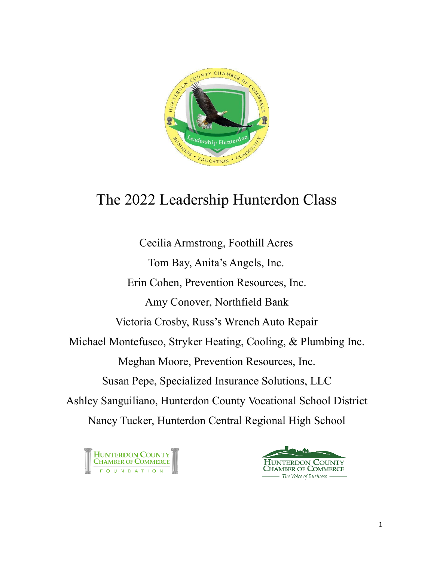

# The 2022 Leadership Hunterdon Class

Cecilia Armstrong, Foothill Acres Tom Bay, Anita's Angels, Inc. Erin Cohen, Prevention Resources, Inc. Amy Conover, Northfield Bank Victoria Crosby, Russ's Wrench Auto Repair Michael Montefusco, Stryker Heating, Cooling, & Plumbing Inc. Meghan Moore, Prevention Resources, Inc. Susan Pepe, Specialized Insurance Solutions, LLC Ashley Sanguiliano, Hunterdon County Vocational School District Nancy Tucker, Hunterdon Central Regional High School



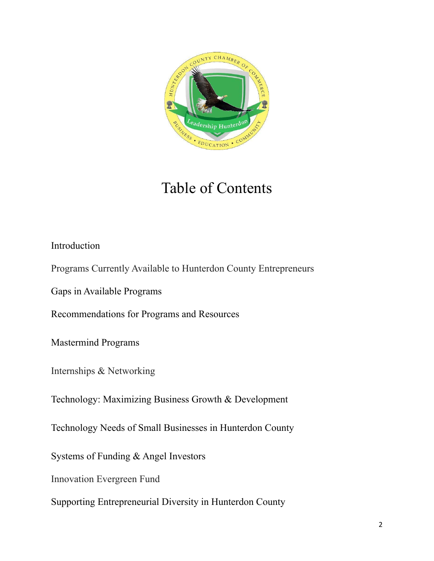

# Table of Contents

Introduction

Programs Currently Available to Hunterdon County Entrepreneurs

Gaps in Available Programs

Recommendations for Programs and Resources

Mastermind Programs

Internships & Networking

Technology: Maximizing Business Growth & Development

Technology Needs of Small Businesses in Hunterdon County

Systems of Funding & Angel Investors

Innovation Evergreen Fund

Supporting Entrepreneurial Diversity in Hunterdon County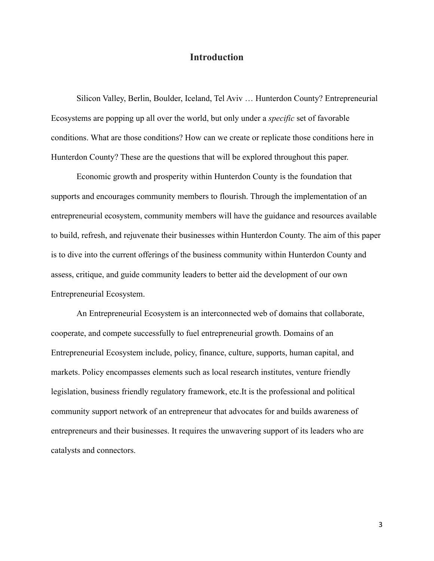# **Introduction**

Silicon Valley, Berlin, Boulder, Iceland, Tel Aviv … Hunterdon County? Entrepreneurial Ecosystems are popping up all over the world, but only under a *specific* set of favorable conditions. What are those conditions? How can we create or replicate those conditions here in Hunterdon County? These are the questions that will be explored throughout this paper.

Economic growth and prosperity within Hunterdon County is the foundation that supports and encourages community members to flourish. Through the implementation of an entrepreneurial ecosystem, community members will have the guidance and resources available to build, refresh, and rejuvenate their businesses within Hunterdon County. The aim of this paper is to dive into the current offerings of the business community within Hunterdon County and assess, critique, and guide community leaders to better aid the development of our own Entrepreneurial Ecosystem.

An Entrepreneurial Ecosystem is an interconnected web of domains that collaborate, cooperate, and compete successfully to fuel entrepreneurial growth. Domains of an Entrepreneurial Ecosystem include, policy, finance, culture, supports, human capital, and markets. Policy encompasses elements such as local research institutes, venture friendly legislation, business friendly regulatory framework, etc.It is the professional and political community support network of an entrepreneur that advocates for and builds awareness of entrepreneurs and their businesses. It requires the unwavering support of its leaders who are catalysts and connectors.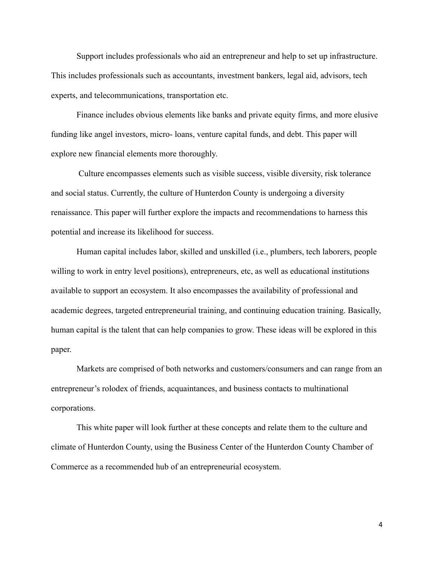Support includes professionals who aid an entrepreneur and help to set up infrastructure. This includes professionals such as accountants, investment bankers, legal aid, advisors, tech experts, and telecommunications, transportation etc.

Finance includes obvious elements like banks and private equity firms, and more elusive funding like angel investors, micro- loans, venture capital funds, and debt. This paper will explore new financial elements more thoroughly.

Culture encompasses elements such as visible success, visible diversity, risk tolerance and social status. Currently, the culture of Hunterdon County is undergoing a diversity renaissance. This paper will further explore the impacts and recommendations to harness this potential and increase its likelihood for success.

Human capital includes labor, skilled and unskilled (i.e., plumbers, tech laborers, people willing to work in entry level positions), entrepreneurs, etc, as well as educational institutions available to support an ecosystem. It also encompasses the availability of professional and academic degrees, targeted entrepreneurial training, and continuing education training. Basically, human capital is the talent that can help companies to grow. These ideas will be explored in this paper.

Markets are comprised of both networks and customers/consumers and can range from an entrepreneur's rolodex of friends, acquaintances, and business contacts to multinational corporations.

This white paper will look further at these concepts and relate them to the culture and climate of Hunterdon County, using the Business Center of the Hunterdon County Chamber of Commerce as a recommended hub of an entrepreneurial ecosystem.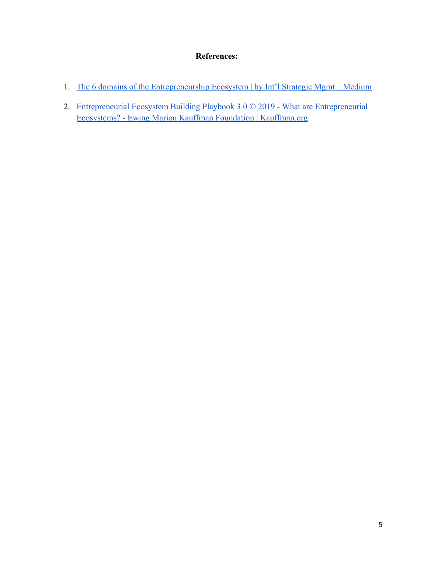# **References:**

- 1. [The 6 domains of the Entrepreneurship Ecosystem | by Int'l Strategic Mgmt. | Medium](https://medium.com/@myISMinc/the-6-domains-of-the-entrepreneurship-ecosystem-a297571f58be)
- 2. [Entrepreneurial Ecosystem Building Playbook 3.0 © 2019 What are Entrepreneurial](https://www.kauffman.org/ecosystem-playbook-draft-3/ecosystems/) [Ecosystems? - Ewing Marion Kauffman Foundation | Kauffman.org](https://www.kauffman.org/ecosystem-playbook-draft-3/ecosystems/)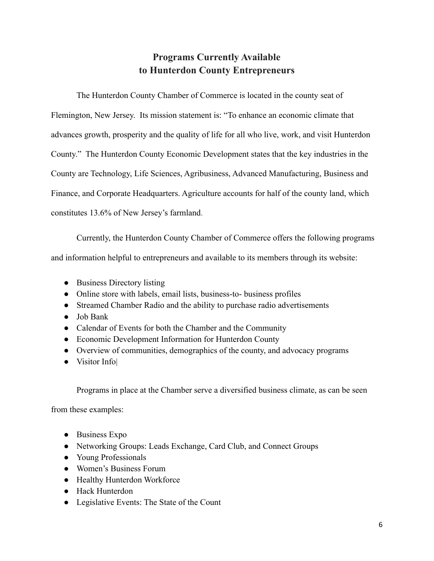# **Programs Currently Available to Hunterdon County Entrepreneurs**

The Hunterdon County Chamber of Commerce is located in the county seat of Flemington, New Jersey. Its mission statement is: "To enhance an economic climate that advances growth, prosperity and the quality of life for all who live, work, and visit Hunterdon County." The Hunterdon County Economic Development states that the key industries in the County are Technology, Life Sciences, Agribusiness, Advanced Manufacturing, Business and Finance, and Corporate Headquarters. Agriculture accounts for half of the county land, which

constitutes 13.6% of New Jersey's farmland.

Currently, the Hunterdon County Chamber of Commerce offers the following programs

and information helpful to entrepreneurs and available to its members through its website:

- Business Directory listing
- Online store with labels, email lists, business-to- business profiles
- Streamed Chamber Radio and the ability to purchase radio advertisements
- Job Bank
- Calendar of Events for both the Chamber and the Community
- Economic Development Information for Hunterdon County
- Overview of communities, demographics of the county, and advocacy programs
- Visitor Info|

Programs in place at the Chamber serve a diversified business climate, as can be seen

from these examples:

- Business Expo
- Networking Groups: Leads Exchange, Card Club, and Connect Groups
- Young Professionals
- Women's Business Forum
- Healthy Hunterdon Workforce
- Hack Hunterdon
- Legislative Events: The State of the Count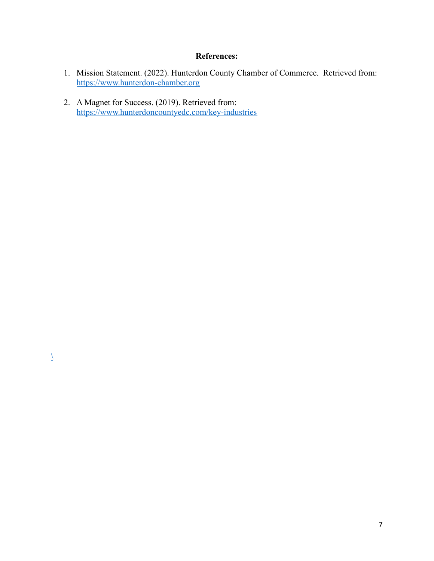# **References:**

- 1. Mission Statement. (2022). Hunterdon County Chamber of Commerce. Retrieved from: <https://www.hunterdon-chamber.org>
- 2. A Magnet for Success. (2019). Retrieved from: <https://www.hunterdoncountyedc.com/key-industries>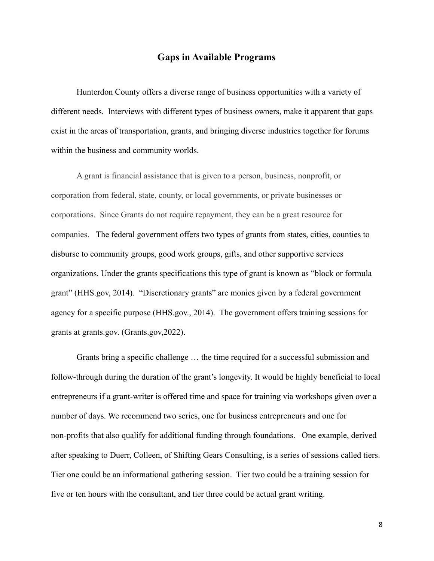#### **Gaps in Available Programs**

Hunterdon County offers a diverse range of business opportunities with a variety of different needs. Interviews with different types of business owners, make it apparent that gaps exist in the areas of transportation, grants, and bringing diverse industries together for forums within the business and community worlds.

A grant is financial assistance that is given to a person, business, nonprofit, or corporation from federal, state, county, or local governments, or private businesses or corporations. Since Grants do not require repayment, they can be a great resource for companies. The federal government offers two types of grants from states, cities, counties to disburse to community groups, good work groups, gifts, and other supportive services organizations. Under the grants specifications this type of grant is known as "block or formula grant" (HHS.gov, 2014). "Discretionary grants" are monies given by a federal government agency for a specific purpose (HHS.gov., 2014). The government offers training sessions for grants at grants.gov. (Grants.gov,2022).

Grants bring a specific challenge … the time required for a successful submission and follow-through during the duration of the grant's longevity. It would be highly beneficial to local entrepreneurs if a grant-writer is offered time and space for training via workshops given over a number of days. We recommend two series, one for business entrepreneurs and one for non-profits that also qualify for additional funding through foundations. One example, derived after speaking to Duerr, Colleen, of Shifting Gears Consulting, is a series of sessions called tiers. Tier one could be an informational gathering session. Tier two could be a training session for five or ten hours with the consultant, and tier three could be actual grant writing.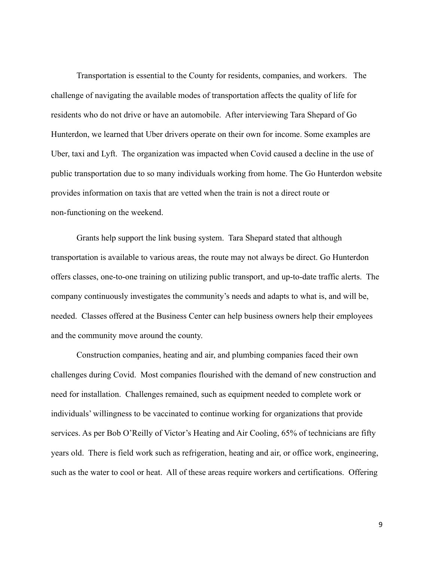Transportation is essential to the County for residents, companies, and workers. The challenge of navigating the available modes of transportation affects the quality of life for residents who do not drive or have an automobile. After interviewing Tara Shepard of Go Hunterdon, we learned that Uber drivers operate on their own for income. Some examples are Uber, taxi and Lyft. The organization was impacted when Covid caused a decline in the use of public transportation due to so many individuals working from home. The Go Hunterdon website provides information on taxis that are vetted when the train is not a direct route or non-functioning on the weekend.

Grants help support the link busing system. Tara Shepard stated that although transportation is available to various areas, the route may not always be direct. Go Hunterdon offers classes, one-to-one training on utilizing public transport, and up-to-date traffic alerts. The company continuously investigates the community's needs and adapts to what is, and will be, needed. Classes offered at the Business Center can help business owners help their employees and the community move around the county.

Construction companies, heating and air, and plumbing companies faced their own challenges during Covid. Most companies flourished with the demand of new construction and need for installation. Challenges remained, such as equipment needed to complete work or individuals' willingness to be vaccinated to continue working for organizations that provide services. As per Bob O'Reilly of Victor's Heating and Air Cooling, 65% of technicians are fifty years old. There is field work such as refrigeration, heating and air, or office work, engineering, such as the water to cool or heat. All of these areas require workers and certifications. Offering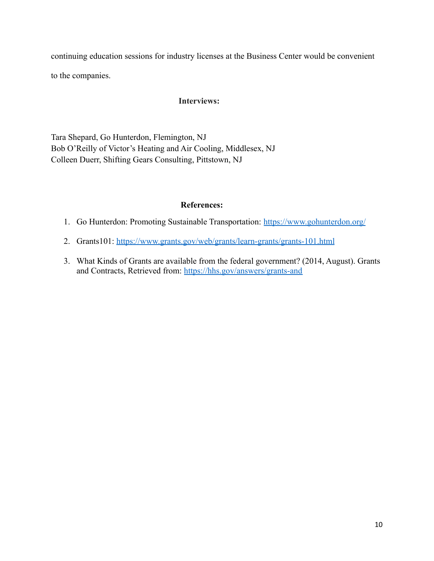continuing education sessions for industry licenses at the Business Center would be convenient to the companies.

# **Interviews:**

Tara Shepard, Go Hunterdon, Flemington, NJ Bob O'Reilly of Victor's Heating and Air Cooling, Middlesex, NJ Colleen Duerr, Shifting Gears Consulting, Pittstown, NJ

### **References:**

- 1. Go Hunterdon: Promoting Sustainable Transportation: <https://www.gohunterdon.org/>
- 2. Grants101: <https://www.grants.gov/web/grants/learn-grants/grants-101.html>
- 3. What Kinds of Grants are available from the federal government? (2014, August). Grants and Contracts, Retrieved from: <https://hhs.gov/answers/grants-and>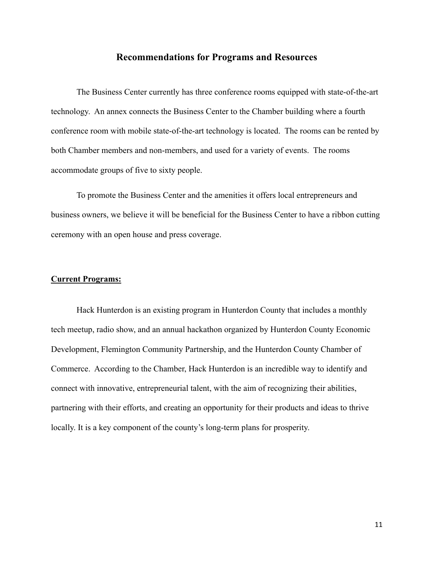#### **Recommendations for Programs and Resources**

The Business Center currently has three conference rooms equipped with state-of-the-art technology. An annex connects the Business Center to the Chamber building where a fourth conference room with mobile state-of-the-art technology is located. The rooms can be rented by both Chamber members and non-members, and used for a variety of events. The rooms accommodate groups of five to sixty people.

To promote the Business Center and the amenities it offers local entrepreneurs and business owners, we believe it will be beneficial for the Business Center to have a ribbon cutting ceremony with an open house and press coverage.

#### **Current Programs:**

Hack Hunterdon is an existing program in Hunterdon County that includes a monthly tech meetup, radio show, and an annual hackathon organized by Hunterdon County Economic Development, Flemington Community Partnership, and the Hunterdon County Chamber of Commerce. According to the Chamber, Hack Hunterdon is an incredible way to identify and connect with innovative, entrepreneurial talent, with the aim of recognizing their abilities, partnering with their efforts, and creating an opportunity for their products and ideas to thrive locally. It is a key component of the county's long-term plans for prosperity.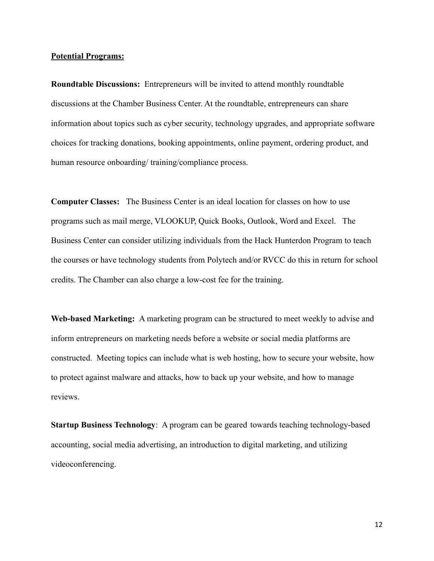#### **Potential Programs:**

**Roundtable Discussions:** Entrepreneurs will be invited to attend monthly roundtable discussions at the Chamber Business Center. At the roundtable, entrepreneurs can share information about topics such as cyber security, technology upgrades, and appropriate software choices for tracking donations, booking appointments, online payment, ordering product, and human resource onboarding/ training/compliance process.

**Computer Classes:** The Business Center is an ideal location for classes on how to use programs such as mail merge, VLOOKUP, Quick Books, Outlook, Word and Excel. The Business Center can consider utilizing individuals from the Hack Hunterdon Program to teach the courses or have technology students from Polytech and/or RVCC do this in return for school credits. The Chamber can also charge a low-cost fee for the training.

**Web-based Marketing:** A marketing program can be structured to meet weekly to advise and inform entrepreneurs on marketing needs before a website or social media platforms are constructed. Meeting topics can include what is web hosting, how to secure your website, how to protect against malware and attacks, how to back up your website, and how to manage reviews.

**Startup Business Technology**: A program can be geared towards teaching technology-based accounting, social media advertising, an introduction to digital marketing, and utilizing videoconferencing.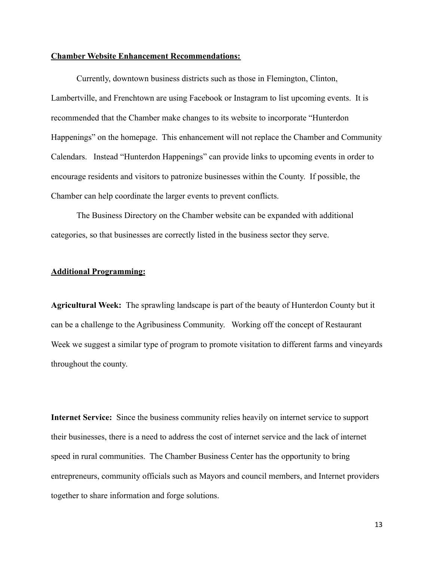#### **Chamber Website Enhancement Recommendations:**

Currently, downtown business districts such as those in Flemington, Clinton, Lambertville, and Frenchtown are using Facebook or Instagram to list upcoming events. It is recommended that the Chamber make changes to its website to incorporate "Hunterdon Happenings" on the homepage. This enhancement will not replace the Chamber and Community Calendars. Instead "Hunterdon Happenings" can provide links to upcoming events in order to encourage residents and visitors to patronize businesses within the County. If possible, the Chamber can help coordinate the larger events to prevent conflicts.

The Business Directory on the Chamber website can be expanded with additional categories, so that businesses are correctly listed in the business sector they serve.

#### **Additional Programming:**

**Agricultural Week:** The sprawling landscape is part of the beauty of Hunterdon County but it can be a challenge to the Agribusiness Community. Working off the concept of Restaurant Week we suggest a similar type of program to promote visitation to different farms and vineyards throughout the county.

**Internet Service:** Since the business community relies heavily on internet service to support their businesses, there is a need to address the cost of internet service and the lack of internet speed in rural communities. The Chamber Business Center has the opportunity to bring entrepreneurs, community officials such as Mayors and council members, and Internet providers together to share information and forge solutions.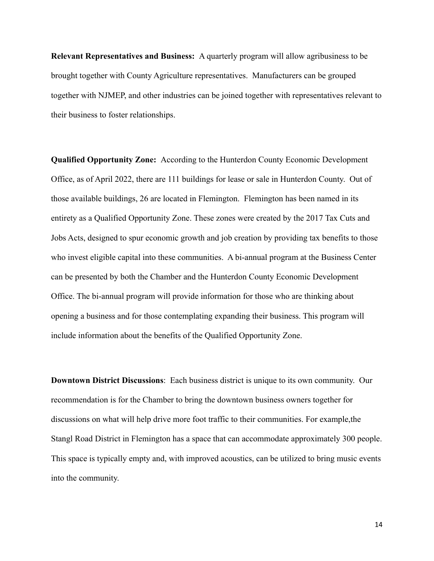**Relevant Representatives and Business:** A quarterly program will allow agribusiness to be brought together with County Agriculture representatives. Manufacturers can be grouped together with NJMEP, and other industries can be joined together with representatives relevant to their business to foster relationships.

**Qualified Opportunity Zone:** According to the Hunterdon County Economic Development Office, as of April 2022, there are 111 buildings for lease or sale in Hunterdon County. Out of those available buildings, 26 are located in Flemington. Flemington has been named in its entirety as a Qualified Opportunity Zone. These zones were created by the 2017 Tax Cuts and Jobs Acts, designed to spur economic growth and job creation by providing tax benefits to those who invest eligible capital into these communities. A bi-annual program at the Business Center can be presented by both the Chamber and the Hunterdon County Economic Development Office. The bi-annual program will provide information for those who are thinking about opening a business and for those contemplating expanding their business. This program will include information about the benefits of the Qualified Opportunity Zone.

**Downtown District Discussions**: Each business district is unique to its own community. Our recommendation is for the Chamber to bring the downtown business owners together for discussions on what will help drive more foot traffic to their communities. For example,the Stangl Road District in Flemington has a space that can accommodate approximately 300 people. This space is typically empty and, with improved acoustics, can be utilized to bring music events into the community.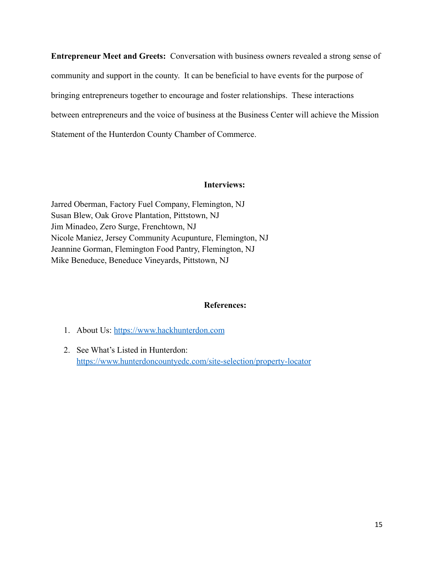**Entrepreneur Meet and Greets:** Conversation with business owners revealed a strong sense of community and support in the county. It can be beneficial to have events for the purpose of bringing entrepreneurs together to encourage and foster relationships. These interactions between entrepreneurs and the voice of business at the Business Center will achieve the Mission Statement of the Hunterdon County Chamber of Commerce.

#### **Interviews:**

Jarred Oberman, Factory Fuel Company, Flemington, NJ Susan Blew, Oak Grove Plantation, Pittstown, NJ Jim Minadeo, Zero Surge, Frenchtown, NJ Nicole Maniez, Jersey Community Acupunture, Flemington, NJ Jeannine Gorman, Flemington Food Pantry, Flemington, NJ Mike Beneduce, Beneduce Vineyards, Pittstown, NJ

#### **References:**

- 1. About Us: <https://www.hackhunterdon.com>
- 2. See What's Listed in Hunterdon: <https://www.hunterdoncountyedc.com/site-selection/property-locator>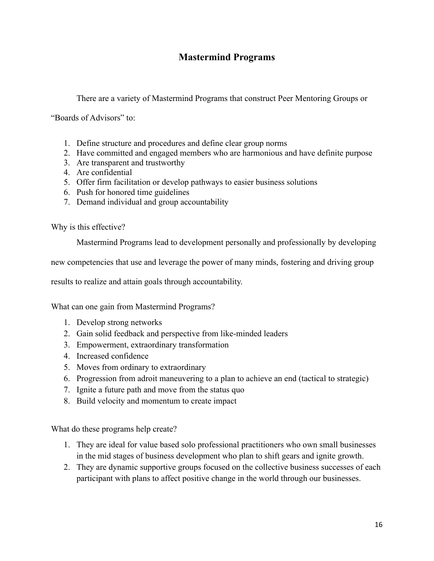# **Mastermind Programs**

There are a variety of Mastermind Programs that construct Peer Mentoring Groups or

"Boards of Advisors" to:

- 1. Define structure and procedures and define clear group norms
- 2. Have committed and engaged members who are harmonious and have definite purpose
- 3. Are transparent and trustworthy
- 4. Are confidential
- 5. Offer firm facilitation or develop pathways to easier business solutions
- 6. Push for honored time guidelines
- 7. Demand individual and group accountability

Why is this effective?

Mastermind Programs lead to development personally and professionally by developing

new competencies that use and leverage the power of many minds, fostering and driving group

results to realize and attain goals through accountability.

What can one gain from Mastermind Programs?

- 1. Develop strong networks
- 2. Gain solid feedback and perspective from like-minded leaders
- 3. Empowerment, extraordinary transformation
- 4. Increased confidence
- 5. Moves from ordinary to extraordinary
- 6. Progression from adroit maneuvering to a plan to achieve an end (tactical to strategic)
- 7. Ignite a future path and move from the status quo
- 8. Build velocity and momentum to create impact

What do these programs help create?

- 1. They are ideal for value based solo professional practitioners who own small businesses in the mid stages of business development who plan to shift gears and ignite growth.
- 2. They are dynamic supportive groups focused on the collective business successes of each participant with plans to affect positive change in the world through our businesses.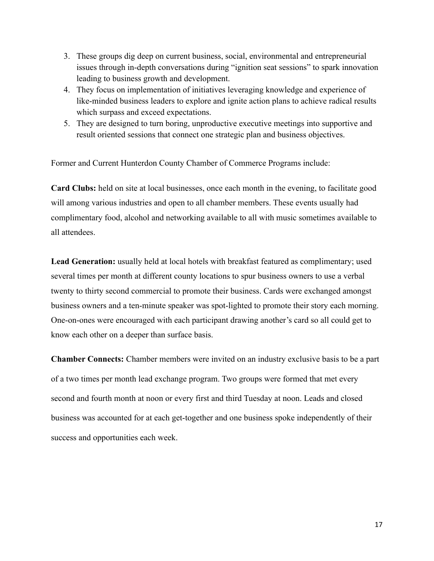- 3. These groups dig deep on current business, social, environmental and entrepreneurial issues through in-depth conversations during "ignition seat sessions" to spark innovation leading to business growth and development.
- 4. They focus on implementation of initiatives leveraging knowledge and experience of like-minded business leaders to explore and ignite action plans to achieve radical results which surpass and exceed expectations.
- 5. They are designed to turn boring, unproductive executive meetings into supportive and result oriented sessions that connect one strategic plan and business objectives.

Former and Current Hunterdon County Chamber of Commerce Programs include:

**Card Clubs:** held on site at local businesses, once each month in the evening, to facilitate good will among various industries and open to all chamber members. These events usually had complimentary food, alcohol and networking available to all with music sometimes available to all attendees.

**Lead Generation:** usually held at local hotels with breakfast featured as complimentary; used several times per month at different county locations to spur business owners to use a verbal twenty to thirty second commercial to promote their business. Cards were exchanged amongst business owners and a ten-minute speaker was spot-lighted to promote their story each morning. One-on-ones were encouraged with each participant drawing another's card so all could get to know each other on a deeper than surface basis.

**Chamber Connects:** Chamber members were invited on an industry exclusive basis to be a part of a two times per month lead exchange program. Two groups were formed that met every second and fourth month at noon or every first and third Tuesday at noon. Leads and closed business was accounted for at each get-together and one business spoke independently of their success and opportunities each week.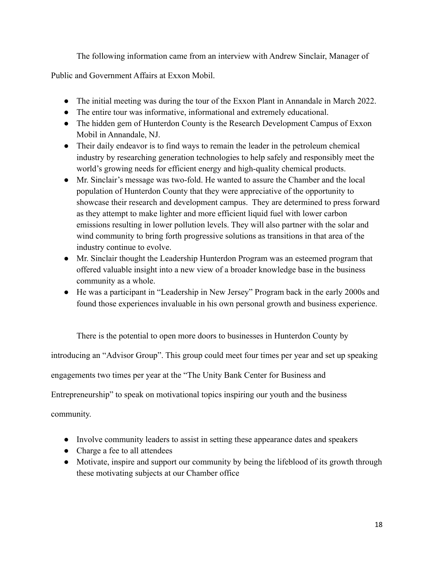The following information came from an interview with Andrew Sinclair, Manager of

Public and Government Affairs at Exxon Mobil.

- The initial meeting was during the tour of the Exxon Plant in Annandale in March 2022.
- The entire tour was informative, informational and extremely educational.
- The hidden gem of Hunterdon County is the Research Development Campus of Exxon Mobil in Annandale, NJ.
- Their daily endeavor is to find ways to remain the leader in the petroleum chemical industry by researching generation technologies to help safely and responsibly meet the world's growing needs for efficient energy and high-quality chemical products.
- Mr. Sinclair's message was two-fold. He wanted to assure the Chamber and the local population of Hunterdon County that they were appreciative of the opportunity to showcase their research and development campus. They are determined to press forward as they attempt to make lighter and more efficient liquid fuel with lower carbon emissions resulting in lower pollution levels. They will also partner with the solar and wind community to bring forth progressive solutions as transitions in that area of the industry continue to evolve.
- Mr. Sinclair thought the Leadership Hunterdon Program was an esteemed program that offered valuable insight into a new view of a broader knowledge base in the business community as a whole.
- He was a participant in "Leadership in New Jersey" Program back in the early 2000s and found those experiences invaluable in his own personal growth and business experience.

There is the potential to open more doors to businesses in Hunterdon County by introducing an "Advisor Group". This group could meet four times per year and set up speaking engagements two times per year at the "The Unity Bank Center for Business and Entrepreneurship" to speak on motivational topics inspiring our youth and the business community.

- Involve community leaders to assist in setting these appearance dates and speakers
- Charge a fee to all attendees
- Motivate, inspire and support our community by being the lifeblood of its growth through these motivating subjects at our Chamber office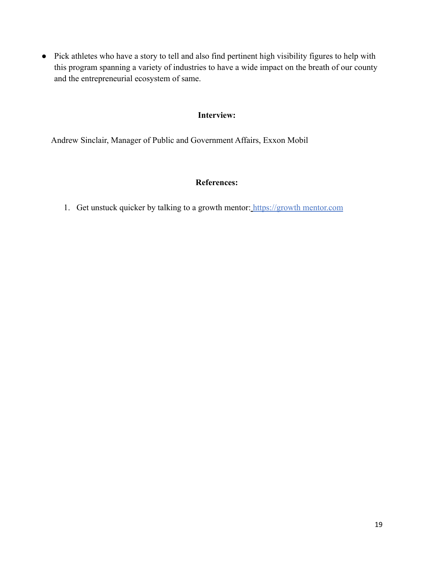● Pick athletes who have a story to tell and also find pertinent high visibility figures to help with this program spanning a variety of industries to have a wide impact on the breath of our county and the entrepreneurial ecosystem of same.

# **Interview:**

Andrew Sinclair, Manager of Public and Government Affairs, Exxon Mobil

# **References:**

1. Get unstuck quicker by talking to a growth mentor: https://growth mentor.com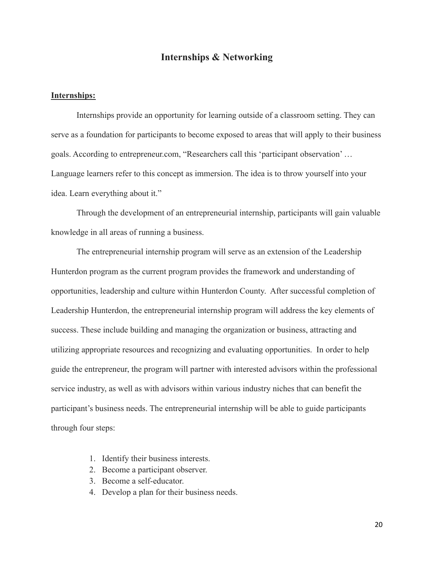## **Internships & Networking**

#### **Internships:**

Internships provide an opportunity for learning outside of a classroom setting. They can serve as a foundation for participants to become exposed to areas that will apply to their business goals. According to entrepreneur.com, "Researchers call this 'participant observation' … Language learners refer to this concept as immersion. The idea is to throw yourself into your idea. Learn everything about it."

Through the development of an entrepreneurial internship, participants will gain valuable knowledge in all areas of running a business.

The entrepreneurial internship program will serve as an extension of the Leadership Hunterdon program as the current program provides the framework and understanding of opportunities, leadership and culture within Hunterdon County. After successful completion of Leadership Hunterdon, the entrepreneurial internship program will address the key elements of success. These include building and managing the organization or business, attracting and utilizing appropriate resources and recognizing and evaluating opportunities. In order to help guide the entrepreneur, the program will partner with interested advisors within the professional service industry, as well as with advisors within various industry niches that can benefit the participant's business needs. The entrepreneurial internship will be able to guide participants through four steps:

- 1. Identify their business interests.
- 2. Become a participant observer.
- 3. Become a self-educator.
- 4. Develop a plan for their business needs.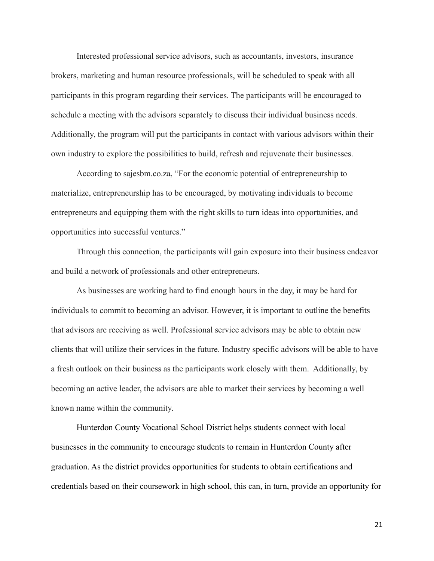Interested professional service advisors, such as accountants, investors, insurance brokers, marketing and human resource professionals, will be scheduled to speak with all participants in this program regarding their services. The participants will be encouraged to schedule a meeting with the advisors separately to discuss their individual business needs. Additionally, the program will put the participants in contact with various advisors within their own industry to explore the possibilities to build, refresh and rejuvenate their businesses.

According to sajesbm.co.za, "For the economic potential of entrepreneurship to materialize, entrepreneurship has to be encouraged, by motivating individuals to become entrepreneurs and equipping them with the right skills to turn ideas into opportunities, and opportunities into successful ventures."

Through this connection, the participants will gain exposure into their business endeavor and build a network of professionals and other entrepreneurs.

As businesses are working hard to find enough hours in the day, it may be hard for individuals to commit to becoming an advisor. However, it is important to outline the benefits that advisors are receiving as well. Professional service advisors may be able to obtain new clients that will utilize their services in the future. Industry specific advisors will be able to have a fresh outlook on their business as the participants work closely with them. Additionally, by becoming an active leader, the advisors are able to market their services by becoming a well known name within the community.

Hunterdon County Vocational School District helps students connect with local businesses in the community to encourage students to remain in Hunterdon County after graduation. As the district provides opportunities for students to obtain certifications and credentials based on their coursework in high school, this can, in turn, provide an opportunity for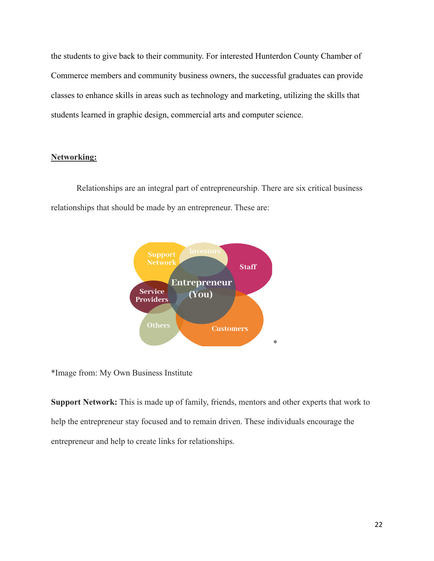the students to give back to their community. For interested Hunterdon County Chamber of Commerce members and community business owners, the successful graduates can provide classes to enhance skills in areas such as technology and marketing, utilizing the skills that students learned in graphic design, commercial arts and computer science.

## **Networking:**

Relationships are an integral part of entrepreneurship. There are six critical business relationships that should be made by an entrepreneur. These are:



\*Image from: My Own Business Institute

**Support Network:** This is made up of family, friends, mentors and other experts that work to help the entrepreneur stay focused and to remain driven. These individuals encourage the entrepreneur and help to create links for relationships.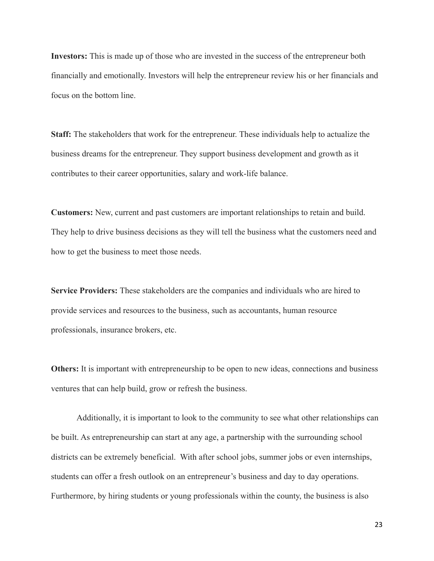**Investors:** This is made up of those who are invested in the success of the entrepreneur both financially and emotionally. Investors will help the entrepreneur review his or her financials and focus on the bottom line.

**Staff:** The stakeholders that work for the entrepreneur. These individuals help to actualize the business dreams for the entrepreneur. They support business development and growth as it contributes to their career opportunities, salary and work-life balance.

**Customers:** New, current and past customers are important relationships to retain and build. They help to drive business decisions as they will tell the business what the customers need and how to get the business to meet those needs.

**Service Providers:** These stakeholders are the companies and individuals who are hired to provide services and resources to the business, such as accountants, human resource professionals, insurance brokers, etc.

**Others:** It is important with entrepreneurship to be open to new ideas, connections and business ventures that can help build, grow or refresh the business.

Additionally, it is important to look to the community to see what other relationships can be built. As entrepreneurship can start at any age, a partnership with the surrounding school districts can be extremely beneficial. With after school jobs, summer jobs or even internships, students can offer a fresh outlook on an entrepreneur's business and day to day operations. Furthermore, by hiring students or young professionals within the county, the business is also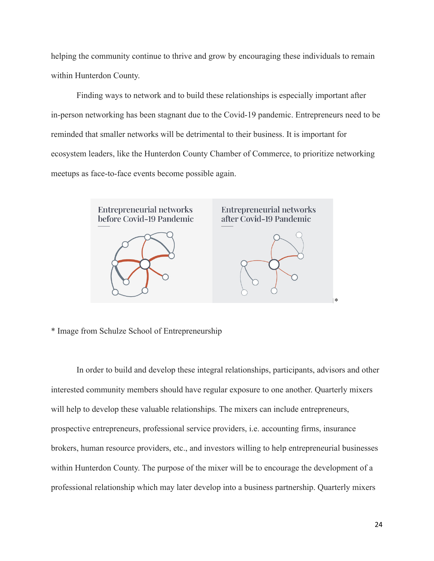helping the community continue to thrive and grow by encouraging these individuals to remain within Hunterdon County.

Finding ways to network and to build these relationships is especially important after in-person networking has been stagnant due to the Covid-19 pandemic. Entrepreneurs need to be reminded that smaller networks will be detrimental to their business. It is important for ecosystem leaders, like the Hunterdon County Chamber of Commerce, to prioritize networking meetups as face-to-face events become possible again.



\* Image from Schulze School of Entrepreneurship

In order to build and develop these integral relationships, participants, advisors and other interested community members should have regular exposure to one another. Quarterly mixers will help to develop these valuable relationships. The mixers can include entrepreneurs, prospective entrepreneurs, professional service providers, i.e. accounting firms, insurance brokers, human resource providers, etc., and investors willing to help entrepreneurial businesses within Hunterdon County. The purpose of the mixer will be to encourage the development of a professional relationship which may later develop into a business partnership. Quarterly mixers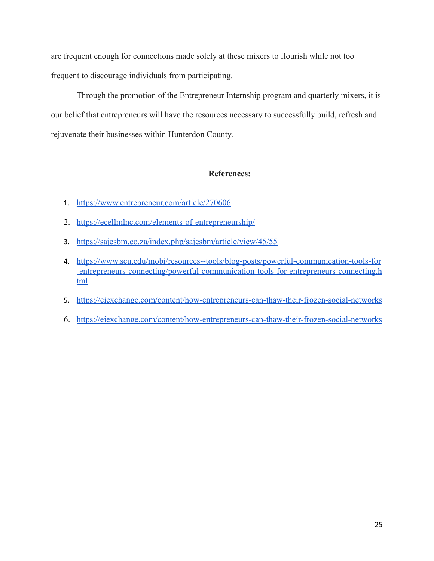are frequent enough for connections made solely at these mixers to flourish while not too frequent to discourage individuals from participating.

Through the promotion of the Entrepreneur Internship program and quarterly mixers, it is our belief that entrepreneurs will have the resources necessary to successfully build, refresh and rejuvenate their businesses within Hunterdon County.

#### **References:**

- 1. <https://www.entrepreneur.com/article/270606>
- 2. <https://ecellmlnc.com/elements-of-entrepreneurship/>
- 3. <https://sajesbm.co.za/index.php/sajesbm/article/view/45/55>
- 4. [https://www.scu.edu/mobi/resources--tools/blog-posts/powerful-communication-tools-for](https://www.scu.edu/mobi/resources--tools/blog-posts/powerful-communication-tools-for-entrepreneurs-connecting/powerful-communication-tools-for-entrepreneurs-connecting.html) [-entrepreneurs-connecting/powerful-communication-tools-for-entrepreneurs-connecting.h](https://www.scu.edu/mobi/resources--tools/blog-posts/powerful-communication-tools-for-entrepreneurs-connecting/powerful-communication-tools-for-entrepreneurs-connecting.html) [tml](https://www.scu.edu/mobi/resources--tools/blog-posts/powerful-communication-tools-for-entrepreneurs-connecting/powerful-communication-tools-for-entrepreneurs-connecting.html)
- 5. <https://eiexchange.com/content/how-entrepreneurs-can-thaw-their-frozen-social-networks>
- 6. <https://eiexchange.com/content/how-entrepreneurs-can-thaw-their-frozen-social-networks>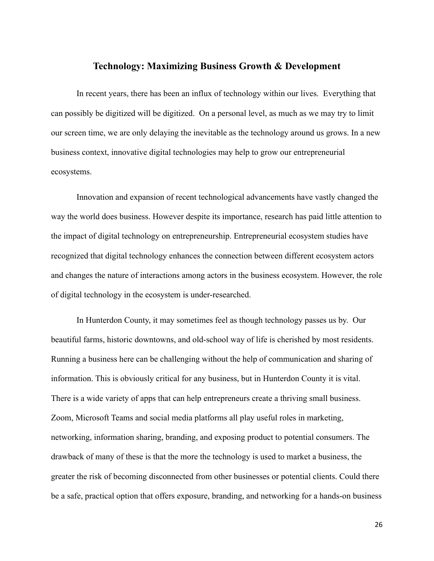#### **Technology: Maximizing Business Growth & Development**

In recent years, there has been an influx of technology within our lives. Everything that can possibly be digitized will be digitized. On a personal level, as much as we may try to limit our screen time, we are only delaying the inevitable as the technology around us grows. In a new business context, innovative digital technologies may help to grow our entrepreneurial ecosystems.

Innovation and expansion of recent technological advancements have vastly changed the way the world does business. However despite its importance, research has paid little attention to the impact of digital technology on entrepreneurship. Entrepreneurial ecosystem studies have recognized that digital technology enhances the connection between different ecosystem actors and changes the nature of interactions among actors in the business ecosystem. However, the role of digital technology in the ecosystem is under-researched.

In Hunterdon County, it may sometimes feel as though technology passes us by. Our beautiful farms, historic downtowns, and old-school way of life is cherished by most residents. Running a business here can be challenging without the help of communication and sharing of information. This is obviously critical for any business, but in Hunterdon County it is vital. There is a wide variety of apps that can help entrepreneurs create a thriving small business. Zoom, Microsoft Teams and social media platforms all play useful roles in marketing, networking, information sharing, branding, and exposing product to potential consumers. The drawback of many of these is that the more the technology is used to market a business, the greater the risk of becoming disconnected from other businesses or potential clients. Could there be a safe, practical option that offers exposure, branding, and networking for a hands-on business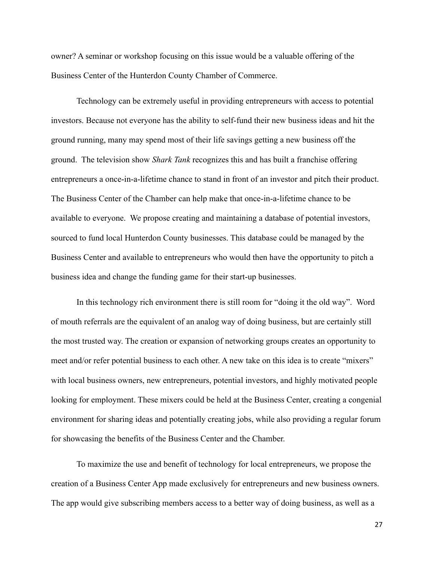owner? A seminar or workshop focusing on this issue would be a valuable offering of the Business Center of the Hunterdon County Chamber of Commerce.

Technology can be extremely useful in providing entrepreneurs with access to potential investors. Because not everyone has the ability to self-fund their new business ideas and hit the ground running, many may spend most of their life savings getting a new business off the ground. The television show *Shark Tank* recognizes this and has built a franchise offering entrepreneurs a once-in-a-lifetime chance to stand in front of an investor and pitch their product. The Business Center of the Chamber can help make that once-in-a-lifetime chance to be available to everyone. We propose creating and maintaining a database of potential investors, sourced to fund local Hunterdon County businesses. This database could be managed by the Business Center and available to entrepreneurs who would then have the opportunity to pitch a business idea and change the funding game for their start-up businesses.

In this technology rich environment there is still room for "doing it the old way". Word of mouth referrals are the equivalent of an analog way of doing business, but are certainly still the most trusted way. The creation or expansion of networking groups creates an opportunity to meet and/or refer potential business to each other. A new take on this idea is to create "mixers" with local business owners, new entrepreneurs, potential investors, and highly motivated people looking for employment. These mixers could be held at the Business Center, creating a congenial environment for sharing ideas and potentially creating jobs, while also providing a regular forum for showcasing the benefits of the Business Center and the Chamber.

To maximize the use and benefit of technology for local entrepreneurs, we propose the creation of a Business Center App made exclusively for entrepreneurs and new business owners. The app would give subscribing members access to a better way of doing business, as well as a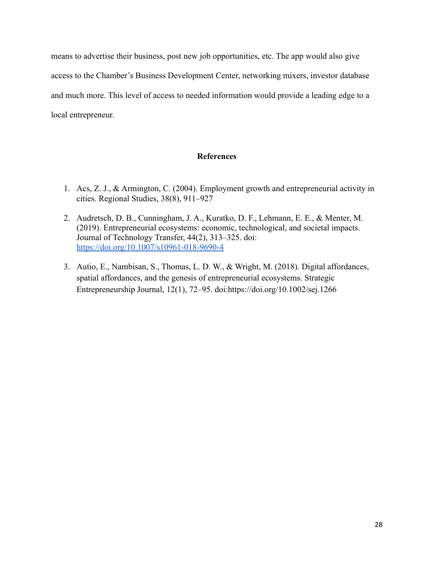means to advertise their business, post new job opportunities, etc. The app would also give access to the Chamber's Business Development Center, networking mixers, investor database and much more. This level of access to needed information would provide a leading edge to a local entrepreneur.

### **References**

- 1. Acs, Z. J., & Armington, C. (2004). Employment growth and entrepreneurial activity in cities. Regional Studies, 38(8), 911–927
- 2. Audretsch, D. B., Cunningham, J. A., Kuratko, D. F., Lehmann, E. E., & Menter, M. (2019). Entrepreneurial ecosystems: economic, technological, and societal impacts. Journal of Technology Transfer, 44(2), 313–325. doi: <https://doi.org/10.1007/s10961-018-9690-4>
- 3. Autio, E., Nambisan, S., Thomas, L. D. W., & Wright, M. (2018). Digital affordances, spatial affordances, and the genesis of entrepreneurial ecosystems. Strategic Entrepreneurship Journal, 12(1), 72–95. doi:https://doi.org/10.1002/sej.1266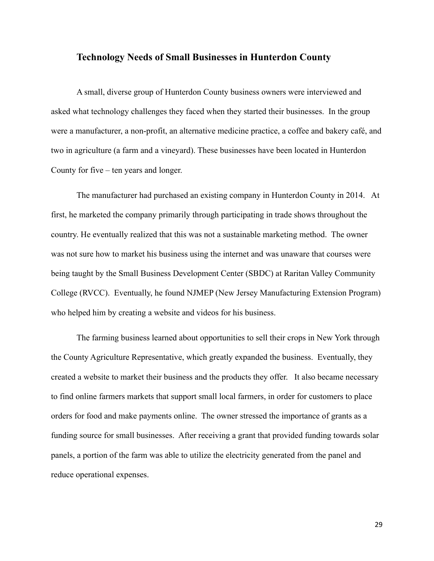#### **Technology Needs of Small Businesses in Hunterdon County**

A small, diverse group of Hunterdon County business owners were interviewed and asked what technology challenges they faced when they started their businesses. In the group were a manufacturer, a non-profit, an alternative medicine practice, a coffee and bakery café, and two in agriculture (a farm and a vineyard). These businesses have been located in Hunterdon County for five – ten years and longer.

The manufacturer had purchased an existing company in Hunterdon County in 2014. At first, he marketed the company primarily through participating in trade shows throughout the country. He eventually realized that this was not a sustainable marketing method. The owner was not sure how to market his business using the internet and was unaware that courses were being taught by the Small Business Development Center (SBDC) at Raritan Valley Community College (RVCC). Eventually, he found NJMEP (New Jersey Manufacturing Extension Program) who helped him by creating a website and videos for his business.

The farming business learned about opportunities to sell their crops in New York through the County Agriculture Representative, which greatly expanded the business. Eventually, they created a website to market their business and the products they offer. It also became necessary to find online farmers markets that support small local farmers, in order for customers to place orders for food and make payments online. The owner stressed the importance of grants as a funding source for small businesses. After receiving a grant that provided funding towards solar panels, a portion of the farm was able to utilize the electricity generated from the panel and reduce operational expenses.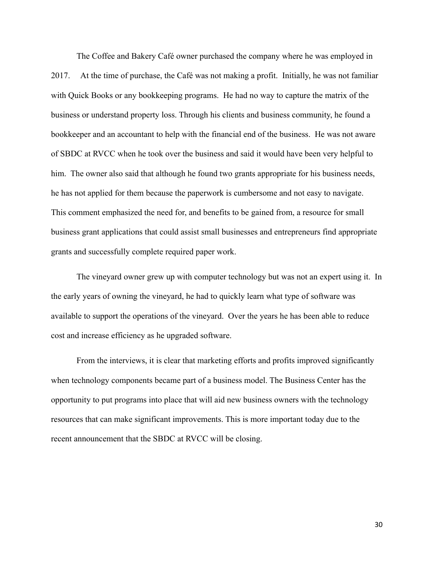The Coffee and Bakery Café owner purchased the company where he was employed in 2017. At the time of purchase, the Café was not making a profit. Initially, he was not familiar with Quick Books or any bookkeeping programs. He had no way to capture the matrix of the business or understand property loss. Through his clients and business community, he found a bookkeeper and an accountant to help with the financial end of the business. He was not aware of SBDC at RVCC when he took over the business and said it would have been very helpful to him. The owner also said that although he found two grants appropriate for his business needs, he has not applied for them because the paperwork is cumbersome and not easy to navigate. This comment emphasized the need for, and benefits to be gained from, a resource for small business grant applications that could assist small businesses and entrepreneurs find appropriate grants and successfully complete required paper work.

The vineyard owner grew up with computer technology but was not an expert using it. In the early years of owning the vineyard, he had to quickly learn what type of software was available to support the operations of the vineyard. Over the years he has been able to reduce cost and increase efficiency as he upgraded software.

From the interviews, it is clear that marketing efforts and profits improved significantly when technology components became part of a business model. The Business Center has the opportunity to put programs into place that will aid new business owners with the technology resources that can make significant improvements. This is more important today due to the recent announcement that the SBDC at RVCC will be closing.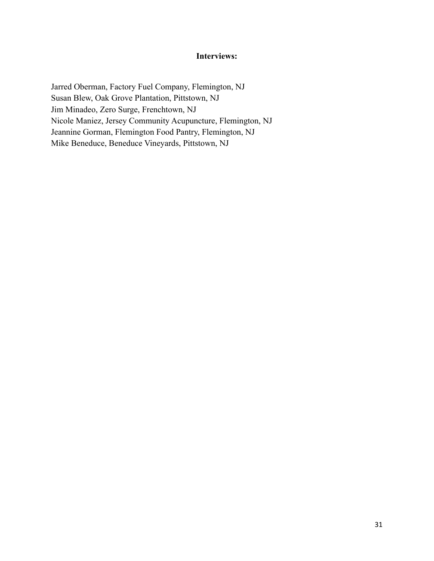# **Interviews:**

Jarred Oberman, Factory Fuel Company, Flemington, NJ Susan Blew, Oak Grove Plantation, Pittstown, NJ Jim Minadeo, Zero Surge, Frenchtown, NJ Nicole Maniez, Jersey Community Acupuncture, Flemington, NJ Jeannine Gorman, Flemington Food Pantry, Flemington, NJ Mike Beneduce, Beneduce Vineyards, Pittstown, NJ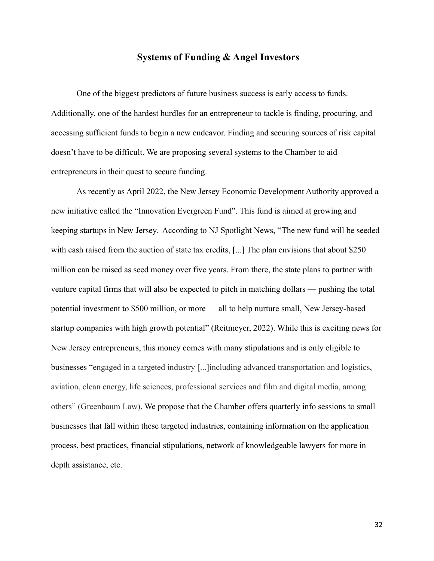#### **Systems of Funding & Angel Investors**

One of the biggest predictors of future business success is early access to funds. Additionally, one of the hardest hurdles for an entrepreneur to tackle is finding, procuring, and accessing sufficient funds to begin a new endeavor. Finding and securing sources of risk capital doesn't have to be difficult. We are proposing several systems to the Chamber to aid entrepreneurs in their quest to secure funding.

As recently as April 2022, the New Jersey Economic Development Authority approved a new initiative called the "Innovation Evergreen Fund". This fund is aimed at growing and keeping startups in New Jersey. According to NJ Spotlight News, "The new fund will be seeded with cash raised from the auction of state tax credits, [...] The plan envisions that about \$250 million can be raised as seed money over five years. From there, the state plans to partner with venture capital firms that will also be expected to pitch in matching dollars — pushing the total potential investment to \$500 million, or more — all to help nurture small, New Jersey-based startup companies with high growth potential" (Reitmeyer, 2022). While this is exciting news for New Jersey entrepreneurs, this money comes with many stipulations and is only eligible to businesses "engaged in a targeted industry [...]including advanced transportation and logistics, aviation, clean energy, life sciences, professional services and film and digital media, among others" (Greenbaum Law). We propose that the Chamber offers quarterly info sessions to small businesses that fall within these targeted industries, containing information on the application process, best practices, financial stipulations, network of knowledgeable lawyers for more in depth assistance, etc.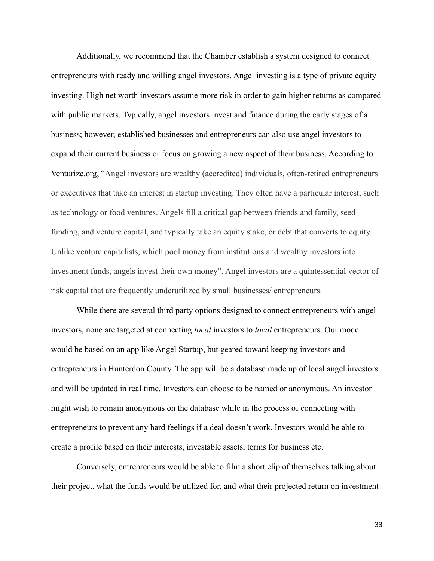Additionally, we recommend that the Chamber establish a system designed to connect entrepreneurs with ready and willing angel investors. Angel investing is a type of private equity investing. High net worth investors assume more risk in order to gain higher returns as compared with public markets. Typically, angel investors invest and finance during the early stages of a business; however, established businesses and entrepreneurs can also use angel investors to expand their current business or focus on growing a new aspect of their business. According to Venturize.org, "Angel investors are wealthy (accredited) individuals, often-retired entrepreneurs or executives that take an interest in startup investing. They often have a particular interest, such as technology or food ventures. Angels fill a critical gap between friends and family, seed funding, and venture capital, and typically take an equity stake, or debt that converts to equity. Unlike venture capitalists, which pool money from institutions and wealthy investors into investment funds, angels invest their own money". Angel investors are a quintessential vector of risk capital that are frequently underutilized by small businesses/ entrepreneurs.

While there are several third party options designed to connect entrepreneurs with angel investors, none are targeted at connecting *local* investors to *local* entrepreneurs. Our model would be based on an app like Angel Startup, but geared toward keeping investors and entrepreneurs in Hunterdon County. The app will be a database made up of local angel investors and will be updated in real time. Investors can choose to be named or anonymous. An investor might wish to remain anonymous on the database while in the process of connecting with entrepreneurs to prevent any hard feelings if a deal doesn't work. Investors would be able to create a profile based on their interests, investable assets, terms for business etc.

Conversely, entrepreneurs would be able to film a short clip of themselves talking about their project, what the funds would be utilized for, and what their projected return on investment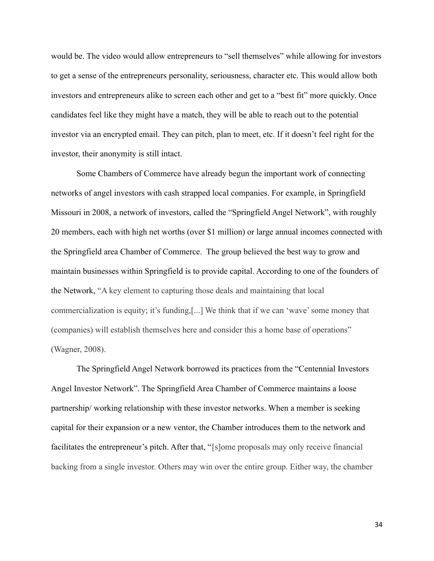would be. The video would allow entrepreneurs to "sell themselves" while allowing for investors to get a sense of the entrepreneurs personality, seriousness, character etc. This would allow both investors and entrepreneurs alike to screen each other and get to a "best fit" more quickly. Once candidates feel like they might have a match, they will be able to reach out to the potential investor via an encrypted email. They can pitch, plan to meet, etc. If it doesn't feel right for the investor, their anonymity is still intact.

Some Chambers of Commerce have already begun the important work of connecting networks of angel investors with cash strapped local companies. For example, in Springfield Missouri in 2008, a network of investors, called the "Springfield Angel Network", with roughly 20 members, each with high net worths (over \$1 million) or large annual incomes connected with the Springfield area Chamber of Commerce. The group believed the best way to grow and maintain businesses within Springfield is to provide capital. According to one of the founders of the Network, "A key element to capturing those deals and maintaining that local commercialization is equity; it's funding,[...] We think that if we can 'wave' some money that (companies) will establish themselves here and consider this a home base of operations" (Wagner, 2008).

The Springfield Angel Network borrowed its practices from the "Centennial Investors Angel Investor Network". The Springfield Area Chamber of Commerce maintains a loose partnership/ working relationship with these investor networks. When a member is seeking capital for their expansion or a new ventor, the Chamber introduces them to the network and facilitates the entrepreneur's pitch. After that, "[s]ome proposals may only receive financial backing from a single investor. Others may win over the entire group. Either way, the chamber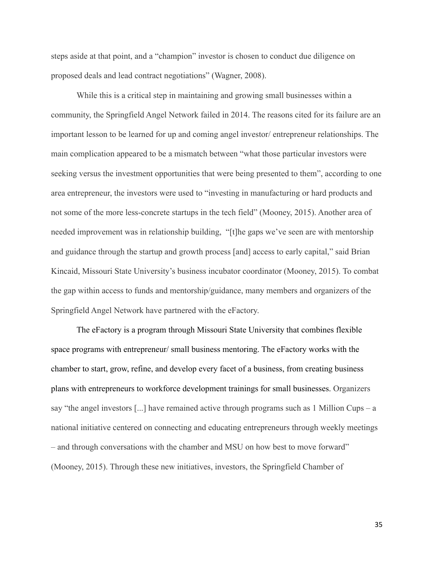steps aside at that point, and a "champion" investor is chosen to conduct due diligence on proposed deals and lead contract negotiations" (Wagner, 2008).

While this is a critical step in maintaining and growing small businesses within a community, the Springfield Angel Network failed in 2014. The reasons cited for its failure are an important lesson to be learned for up and coming angel investor/ entrepreneur relationships. The main complication appeared to be a mismatch between "what those particular investors were seeking versus the investment opportunities that were being presented to them", according to one area entrepreneur, the investors were used to "investing in manufacturing or hard products and not some of the more less-concrete startups in the tech field" (Mooney, 2015). Another area of needed improvement was in relationship building, "[t]he gaps we've seen are with mentorship and guidance through the startup and growth process [and] access to early capital," said Brian Kincaid, Missouri State University's business incubator coordinator (Mooney, 2015). To combat the gap within access to funds and mentorship/guidance, many members and organizers of the Springfield Angel Network have partnered with the eFactory.

The eFactory is a program through Missouri State University that combines flexible space programs with entrepreneur/ small business mentoring. The eFactory works with the chamber to start, grow, refine, and develop every facet of a business, from creating business plans with entrepreneurs to workforce development trainings for small businesses. Organizers say "the angel investors [...] have remained active through programs such as 1 Million Cups – a national initiative centered on connecting and educating entrepreneurs through weekly meetings – and through conversations with the chamber and MSU on how best to move forward" (Mooney, 2015). Through these new initiatives, investors, the Springfield Chamber of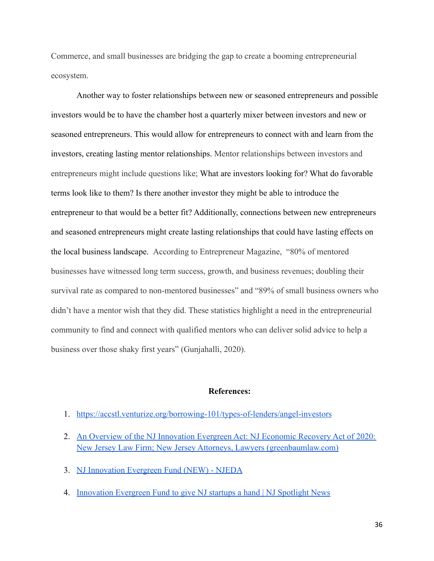Commerce, and small businesses are bridging the gap to create a booming entrepreneurial ecosystem.

Another way to foster relationships between new or seasoned entrepreneurs and possible investors would be to have the chamber host a quarterly mixer between investors and new or seasoned entrepreneurs. This would allow for entrepreneurs to connect with and learn from the investors, creating lasting mentor relationships. Mentor relationships between investors and entrepreneurs might include questions like; What are investors looking for? What do favorable terms look like to them? Is there another investor they might be able to introduce the entrepreneur to that would be a better fit? Additionally, connections between new entrepreneurs and seasoned entrepreneurs might create lasting relationships that could have lasting effects on the local business landscape. According to Entrepreneur Magazine, "80% of mentored businesses have witnessed long term success, growth, and business revenues; doubling their survival rate as compared to non-mentored businesses" and "89% of small business owners who didn't have a mentor wish that they did. These statistics highlight a need in the entrepreneurial community to find and connect with qualified mentors who can deliver solid advice to help a business over those shaky first years" (Gunjahalli, 2020).

#### **References:**

- 1. <https://accstl.venturize.org/borrowing-101/types-of-lenders/angel-investors>
- 2. [An Overview of the NJ Innovation Evergreen Act: NJ Economic Recovery Act of 2020:](https://www.greenbaumlaw.com/insights-alerts-Overview-of-NJ-Innovation-Evergreen-Act.html) [New Jersey Law Firm; New Jersey Attorneys, Lawyers \(greenbaumlaw.com\)](https://www.greenbaumlaw.com/insights-alerts-Overview-of-NJ-Innovation-Evergreen-Act.html)
- 3. [NJ Innovation Evergreen Fund \(NEW\) NJEDA](https://www.njeda.com/evergreen/#1)
- 4. [Innovation Evergreen Fund to give NJ startups a hand | NJ Spotlight News](https://www.njspotlightnews.org/2022/04/nj-eda-gov-murphy-innovation-evergreen-fund-250m-state-tax-credits-auction-venture-capital-firms-funding-startups-with-high-growth-potential/)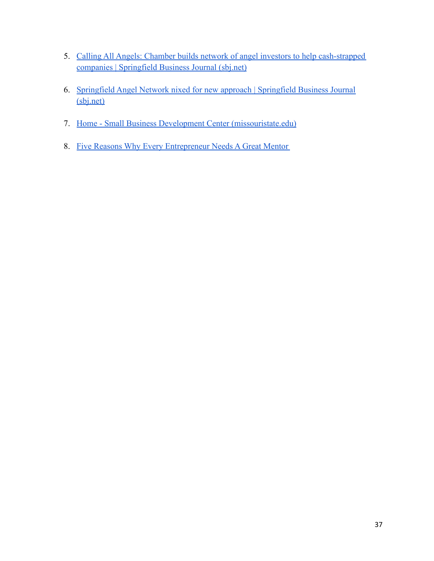- 5. [Calling All Angels: Chamber builds network of angel investors to help cash-strapped](https://sbj.net/stories/calling-all-angels-chamber-builds-network-of-angel-investors-to-help-cash-strapped-companies,28390) [companies | Springfield Business Journal \(sbj.net\)](https://sbj.net/stories/calling-all-angels-chamber-builds-network-of-angel-investors-to-help-cash-strapped-companies,28390)
- 6. [Springfield Angel Network nixed for new approach | Springfield Business Journal](https://sbj.net/stories/springfield-angel-network-nixed-for-new-approach,10660) [\(sbj.net\)](https://sbj.net/stories/springfield-angel-network-nixed-for-new-approach,10660)
- 7. [Home Small Business Development Center \(missouristate.edu\)](https://sbdc.missouristate.edu/)
- 8. [Five Reasons Why Every Entrepreneur Needs A Great Mentor](https://www.entrepreneur.com/article/347638)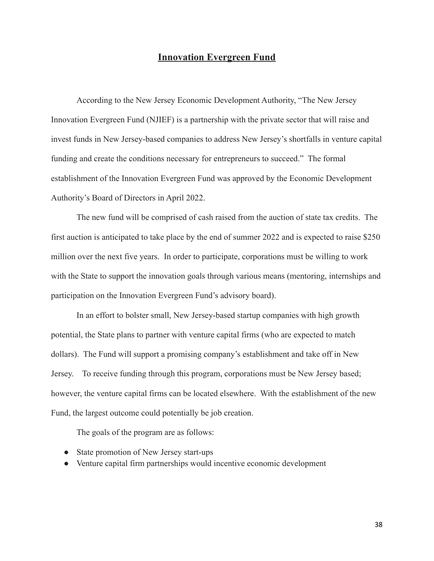# **Innovation Evergreen Fund**

According to the New Jersey Economic Development Authority, "The New Jersey Innovation Evergreen Fund (NJIEF) is a partnership with the private sector that will raise and invest funds in New Jersey-based companies to address New Jersey's shortfalls in venture capital funding and create the conditions necessary for entrepreneurs to succeed." The formal establishment of the Innovation Evergreen Fund was approved by the Economic Development Authority's Board of Directors in April 2022.

The new fund will be comprised of cash raised from the auction of state tax credits. The first auction is anticipated to take place by the end of summer 2022 and is expected to raise \$250 million over the next five years. In order to participate, corporations must be willing to work with the State to support the innovation goals through various means (mentoring, internships and participation on the Innovation Evergreen Fund's advisory board).

In an effort to bolster small, New Jersey-based startup companies with high growth potential, the State plans to partner with venture capital firms (who are expected to match dollars). The Fund will support a promising company's establishment and take off in New Jersey. To receive funding through this program, corporations must be New Jersey based; however, the venture capital firms can be located elsewhere. With the establishment of the new Fund, the largest outcome could potentially be job creation.

The goals of the program are as follows:

- State promotion of New Jersey start-ups
- Venture capital firm partnerships would incentive economic development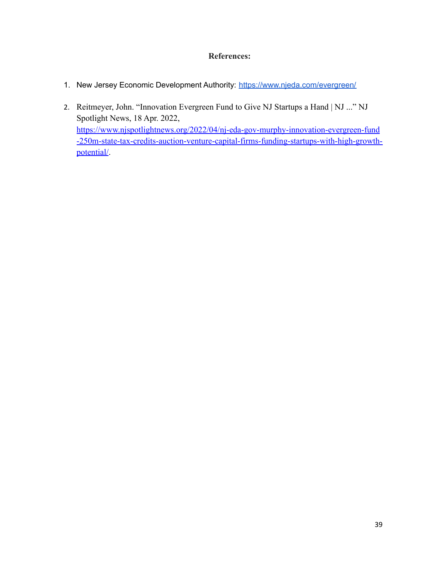# **References:**

- 1. New Jersey Economic Development Authority: <https://www.njeda.com/evergreen/>
- 2. Reitmeyer, John. "Innovation Evergreen Fund to Give NJ Startups a Hand | NJ ..." NJ Spotlight News, 18 Apr. 2022, [https://www.njspotlightnews.org/2022/04/nj-eda-gov-murphy-innovation-evergreen-fund](https://www.njspotlightnews.org/2022/04/nj-eda-gov-murphy-innovation-evergreen-fund-250m-state-tax-credits-auction-venture-capital-firms-funding-startups-with-high-growth-potential/) [-250m-state-tax-credits-auction-venture-capital-firms-funding-startups-with-high-growth](https://www.njspotlightnews.org/2022/04/nj-eda-gov-murphy-innovation-evergreen-fund-250m-state-tax-credits-auction-venture-capital-firms-funding-startups-with-high-growth-potential/)[potential/](https://www.njspotlightnews.org/2022/04/nj-eda-gov-murphy-innovation-evergreen-fund-250m-state-tax-credits-auction-venture-capital-firms-funding-startups-with-high-growth-potential/).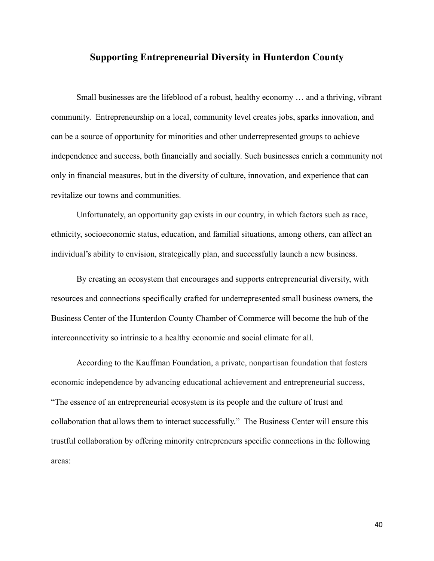# **Supporting Entrepreneurial Diversity in Hunterdon County**

Small businesses are the lifeblood of a robust, healthy economy … and a thriving, vibrant community. Entrepreneurship on a local, community level creates jobs, sparks innovation, and can be a source of opportunity for minorities and other underrepresented groups to achieve independence and success, both financially and socially. Such businesses enrich a community not only in financial measures, but in the diversity of culture, innovation, and experience that can revitalize our towns and communities.

Unfortunately, an opportunity gap exists in our country, in which factors such as race, ethnicity, socioeconomic status, education, and familial situations, among others, can affect an individual's ability to envision, strategically plan, and successfully launch a new business.

By creating an ecosystem that encourages and supports entrepreneurial diversity, with resources and connections specifically crafted for underrepresented small business owners, the Business Center of the Hunterdon County Chamber of Commerce will become the hub of the interconnectivity so intrinsic to a healthy economic and social climate for all.

According to the Kauffman Foundation, a private, nonpartisan foundation that fosters economic independence by advancing educational achievement and entrepreneurial success, "The essence of an entrepreneurial ecosystem is its people and the culture of trust and collaboration that allows them to interact successfully." The Business Center will ensure this trustful collaboration by offering minority entrepreneurs specific connections in the following areas: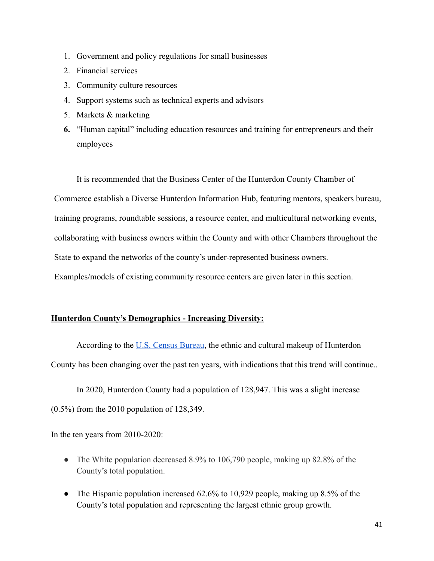- 1. Government and policy regulations for small businesses
- 2. Financial services
- 3. Community culture resources
- 4. Support systems such as technical experts and advisors
- 5. Markets & marketing
- **6.** "Human capital" including education resources and training for entrepreneurs and their employees

It is recommended that the Business Center of the Hunterdon County Chamber of Commerce establish a Diverse Hunterdon Information Hub, featuring mentors, speakers bureau, training programs, roundtable sessions, a resource center, and multicultural networking events, collaborating with business owners within the County and with other Chambers throughout the State to expand the networks of the county's under-represented business owners. Examples/models of existing community resource centers are given later in this section.

# **Hunterdon County's Demographics - Increasing Diversity:**

According to the [U.S. Census Bureau](https://www.census.gov/quickfacts/hunterdoncountynewjersey), the ethnic and cultural makeup of Hunterdon County has been changing over the past ten years, with indications that this trend will continue..

In 2020, Hunterdon County had a population of 128,947. This was a slight increase (0.5%) from the 2010 population of 128,349.

In the ten years from 2010-2020:

- The White population decreased 8.9% to 106,790 people, making up 82.8% of the County's total population.
- The Hispanic population increased 62.6% to 10,929 people, making up 8.5% of the County's total population and representing the largest ethnic group growth.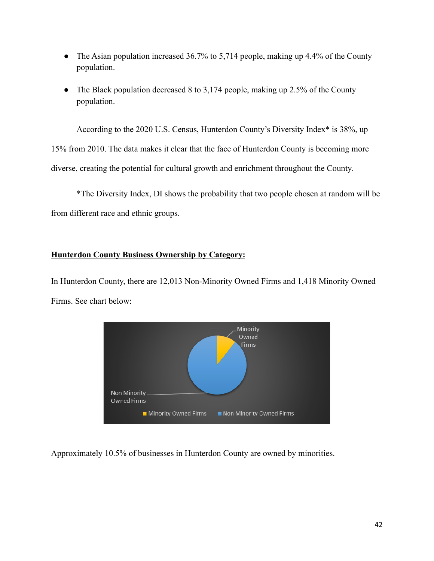- The Asian population increased 36.7% to 5,714 people, making up 4.4% of the County population.
- The Black population decreased 8 to 3,174 people, making up 2.5% of the County population.

According to the 2020 U.S. Census, Hunterdon County's Diversity Index\* is 38%, up

15% from 2010. The data makes it clear that the face of Hunterdon County is becoming more

diverse, creating the potential for cultural growth and enrichment throughout the County.

\*The Diversity Index, DI shows the probability that two people chosen at random will be from different race and ethnic groups.

## **Hunterdon County Business Ownership by Category:**

In Hunterdon County, there are 12,013 Non-Minority Owned Firms and 1,418 Minority Owned Firms. See chart below:



Approximately 10.5% of businesses in Hunterdon County are owned by minorities.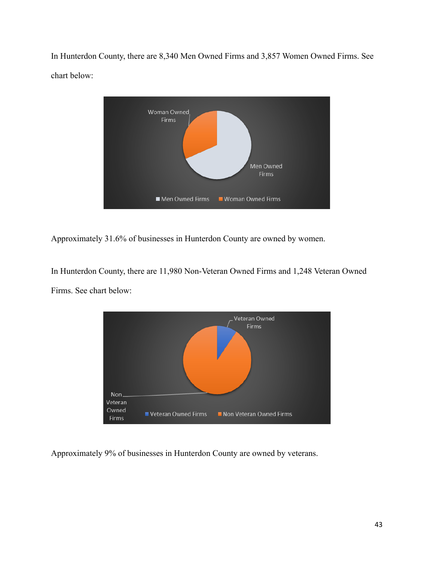In Hunterdon County, there are 8,340 Men Owned Firms and 3,857 Women Owned Firms. See chart below:



Approximately 31.6% of businesses in Hunterdon County are owned by women.

In Hunterdon County, there are 11,980 Non-Veteran Owned Firms and 1,248 Veteran Owned Firms. See chart below:



Approximately 9% of businesses in Hunterdon County are owned by veterans.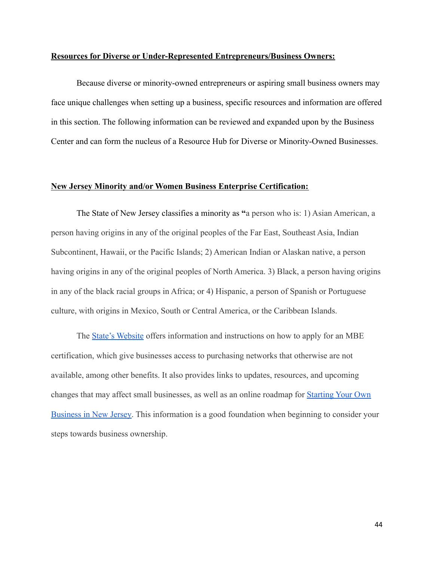#### **Resources for Diverse or Under-Represented Entrepreneurs/Business Owners:**

Because diverse or minority-owned entrepreneurs or aspiring small business owners may face unique challenges when setting up a business, specific resources and information are offered in this section. The following information can be reviewed and expanded upon by the Business Center and can form the nucleus of a Resource Hub for Diverse or Minority-Owned Businesses.

#### **New Jersey Minority and/or Women Business Enterprise Certification:**

The State of New Jersey classifies a minority as **"**a person who is: 1) Asian American, a person having origins in any of the original peoples of the Far East, Southeast Asia, Indian Subcontinent, Hawaii, or the Pacific Islands; 2) American Indian or Alaskan native, a person having origins in any of the original peoples of North America. 3) Black, a person having origins in any of the black racial groups in Africa; or 4) Hispanic, a person of Spanish or Portuguese culture, with origins in Mexico, South or Central America, or the Caribbean Islands.

The [State's Website](https://business.nj.gov/pages/mwbe?locale=en) offers information and instructions on how to apply for an MBE certification, which give businesses access to purchasing networks that otherwise are not available, among other benefits. It also provides links to updates, resources, and upcoming changes that may affect small businesses, as well as an online roadmap for [Starting Your Own](https://navigator.business.nj.gov/) [Business in New Jersey.](https://navigator.business.nj.gov/) This information is a good foundation when beginning to consider your steps towards business ownership.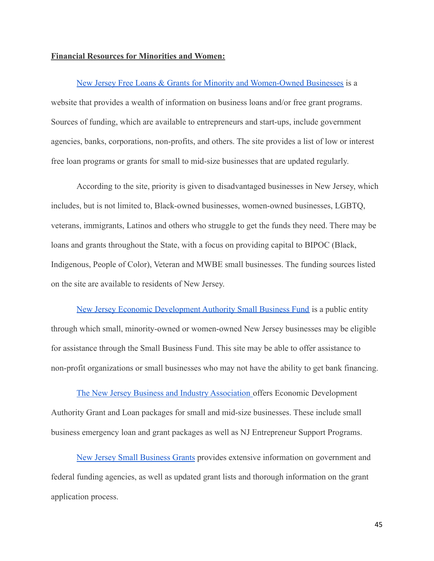#### **Financial Resources for Minorities and Women:**

[New Jersey Free Loans & Grants for Minority and Women-Owned Businesses](https://www.womenandminoritybusiness.org/new-jersey-grants-and-loans-for-minority-and-women-owned-businesses/) is a website that provides a wealth of information on business loans and/or free grant programs. Sources of funding, which are available to entrepreneurs and start-ups, include government agencies, banks, corporations, non-profits, and others. The site provides a list of low or interest free loan programs or grants for small to mid-size businesses that are updated regularly.

According to the site, priority is given to disadvantaged businesses in New Jersey, which includes, but is not limited to, Black-owned businesses, women-owned businesses, LGBTQ, veterans, immigrants, Latinos and others who struggle to get the funds they need. There may be loans and grants throughout the State, with a focus on providing capital to BIPOC (Black, Indigenous, People of Color), Veteran and MWBE small businesses. The funding sources listed on the site are available to residents of New Jersey.

[New Jersey Economic Development Authority Small Business Fund](https://www.njeda.com/smallbusinessfund/) is a public entity through which small, minority-owned or women-owned New Jersey businesses may be eligible for assistance through the Small Business Fund. This site may be able to offer assistance to non-profit organizations or small businesses who may not have the ability to get bank financing.

[The New Jersey Business and Industry Association](https://njbia.org/resources/recovery/eda-grants/) offers Economic Development Authority Grant and Loan packages for small and mid-size businesses. These include small business emergency loan and grant packages as well as NJ Entrepreneur Support Programs.

[New Jersey Small Business Grants](https://businessyield.com/grant-opportunities/nj-small-business-grants/) provides extensive information on government and federal funding agencies, as well as updated grant lists and thorough information on the grant application process.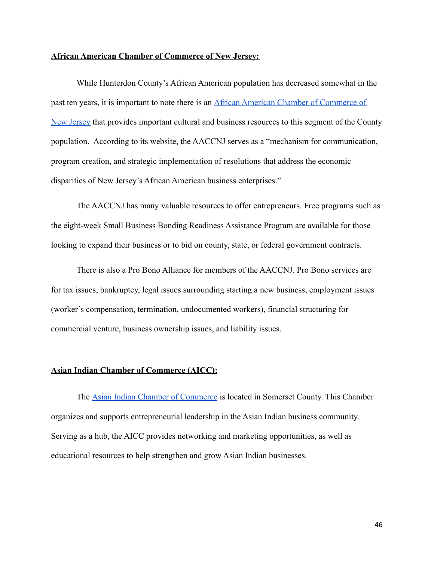#### **African American Chamber of Commerce of New Jersey:**

While Hunterdon County's African American population has decreased somewhat in the past ten years, it is important to note there is an [African American Chamber of Commerce of](http://www.aaccnj.com) [New Jersey](http://www.aaccnj.com) that provides important cultural and business resources to this segment of the County population. According to its website, the AACCNJ serves as a "mechanism for communication, program creation, and strategic implementation of resolutions that address the economic disparities of New Jersey's African American business enterprises."

The AACCNJ has many valuable resources to offer entrepreneurs. Free programs such as the eight-week Small Business Bonding Readiness Assistance Program are available for those looking to expand their business or to bid on county, state, or federal government contracts.

There is also a Pro Bono Alliance for members of the AACCNJ. Pro Bono services are for tax issues, bankruptcy, legal issues surrounding starting a new business, employment issues (worker's compensation, termination, undocumented workers), financial structuring for commercial venture, business ownership issues, and liability issues.

#### **Asian Indian Chamber of Commerce (AICC):**

The [Asian Indian Chamber of Commerce](http://www.aicc.net) is located in Somerset County. This Chamber organizes and supports entrepreneurial leadership in the Asian Indian business community. Serving as a hub, the AICC provides networking and marketing opportunities, as well as educational resources to help strengthen and grow Asian Indian businesses.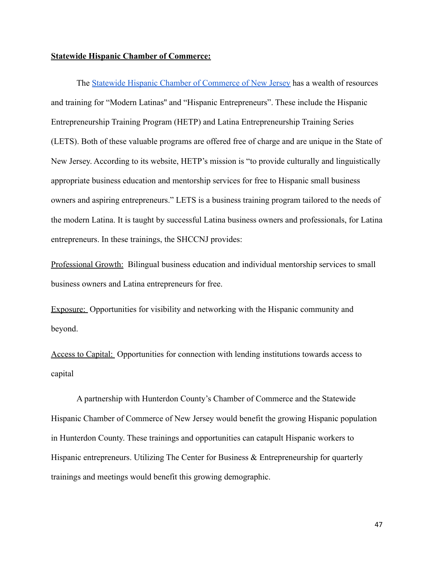#### **Statewide Hispanic Chamber of Commerce:**

The [Statewide Hispanic Chamber of Commerce of New](https://shccnj.org) Jersey has a wealth of resources and training for "Modern Latinas'' and "Hispanic Entrepreneurs". These include the Hispanic Entrepreneurship Training Program (HETP) and Latina Entrepreneurship Training Series (LETS). Both of these valuable programs are offered free of charge and are unique in the State of New Jersey. According to its website, HETP's mission is "to provide culturally and linguistically appropriate business education and mentorship services for free to Hispanic small business owners and aspiring entrepreneurs." LETS is a business training program tailored to the needs of the modern Latina. It is taught by successful Latina business owners and professionals, for Latina entrepreneurs. In these trainings, the SHCCNJ provides:

Professional Growth: Bilingual business education and individual mentorship services to small business owners and Latina entrepreneurs for free.

Exposure: Opportunities for visibility and networking with the Hispanic community and beyond.

Access to Capital: Opportunities for connection with lending institutions towards access to capital

A partnership with Hunterdon County's Chamber of Commerce and the Statewide Hispanic Chamber of Commerce of New Jersey would benefit the growing Hispanic population in Hunterdon County. These trainings and opportunities can catapult Hispanic workers to Hispanic entrepreneurs. Utilizing The Center for Business & Entrepreneurship for quarterly trainings and meetings would benefit this growing demographic.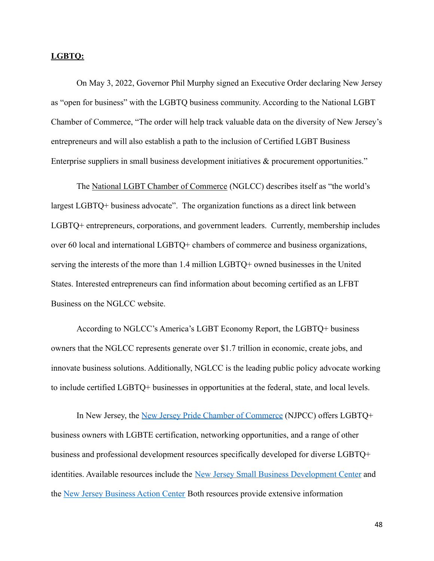#### **LGBTQ:**

On May 3, 2022, Governor Phil Murphy signed an Executive Order declaring New Jersey as "open for business" with the LGBTQ business community. According to the National LGBT Chamber of Commerce, "The order will help track valuable data on the diversity of New Jersey's entrepreneurs and will also establish a path to the inclusion of Certified LGBT Business Enterprise suppliers in small business development initiatives & procurement opportunities."

The [National LGBT Chamber of Commerce](https://nglcc.org/get-certified) (NGLCC) describes itself as "the world's largest LGBTQ+ business advocate". The organization functions as a direct link between LGBTQ+ entrepreneurs, corporations, and government leaders. Currently, membership includes over 60 local and international LGBTQ+ chambers of commerce and business organizations, serving the interests of the more than 1.4 million LGBTQ+ owned businesses in the United States. Interested entrepreneurs can find information about becoming certified as an LFBT Business on the NGLCC website.

According to NGLCC's America's LGBT Economy Report, the LGBTQ+ business owners that the NGLCC represents generate over \$1.7 trillion in economic, create jobs, and innovate business solutions. Additionally, NGLCC is the leading public policy advocate working to include certified LGBTQ+ businesses in opportunities at the federal, state, and local levels.

In New Jersey, the [New Jersey Pride Chamber of Commerce](https://www.njpridechamber.org/) (NJPCC) offers LGBTQ+ business owners with LGBTE certification, networking opportunities, and a range of other business and professional development resources specifically developed for diverse LGBTQ+ identities. Available resources include the New Jersey [Small Business Development Center](https://njsbdc.com/) and the [New Jersey Business Action Center](https://www.nj.gov/state/bac/index.shtml) Both resources provide extensive information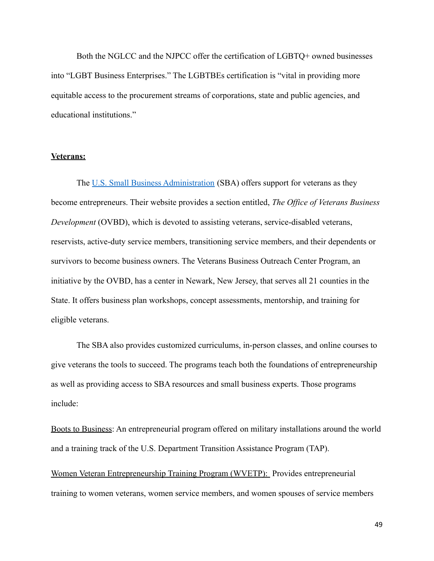Both the NGLCC and the NJPCC offer the certification of LGBTQ+ owned businesses into "LGBT Business Enterprises." The LGBTBEs certification is "vital in providing more equitable access to the procurement streams of corporations, state and public agencies, and educational institutions."

#### **Veterans:**

The [U.S. Small Business Administration](https://www.sba.gov/business-guide/grow-your-business/veteran-owned-businesses) (SBA) offers support for veterans as they become entrepreneurs. Their website provides a section entitled, *The Office of Veterans Business Development* (OVBD), which is devoted to assisting veterans, service-disabled veterans, reservists, active-duty service members, transitioning service members, and their dependents or survivors to become business owners. The Veterans Business Outreach Center Program, an initiative by the OVBD, has a center in Newark, New Jersey, that serves all 21 counties in the State. It offers business plan workshops, concept assessments, mentorship, and training for eligible veterans.

The SBA also provides customized curriculums, in-person classes, and online courses to give veterans the tools to succeed. The programs teach both the foundations of entrepreneurship as well as providing access to SBA resources and small business experts. Those programs include:

Boots to Business: An entrepreneurial program offered on military installations around the world and a training track of the U.S. Department Transition Assistance Program (TAP).

Women Veteran Entrepreneurship Training Program (WVETP): Provides entrepreneurial training to women veterans, women service members, and women spouses of service members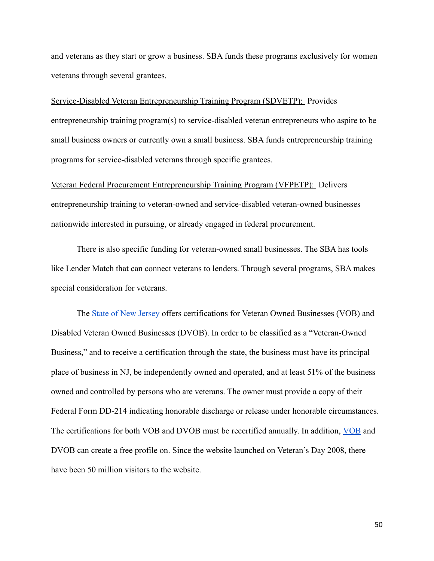and veterans as they start or grow a business. SBA funds these programs exclusively for women veterans through several grantees.

Service-Disabled Veteran Entrepreneurship Training Program (SDVETP): Provides entrepreneurship training program(s) to service-disabled veteran entrepreneurs who aspire to be small business owners or currently own a small business. SBA funds entrepreneurship training programs for service-disabled veterans through specific grantees.

Veteran Federal Procurement Entrepreneurship Training Program (VFPETP): Delivers entrepreneurship training to veteran-owned and service-disabled veteran-owned businesses nationwide interested in pursuing, or already engaged in federal procurement.

There is also specific funding for veteran-owned small businesses. The SBA has tools like Lender Match that can connect veterans to lenders. Through several programs, SBA makes special consideration for veterans.

The [State of New Jersey](http://www.business.nj.gov) offers certifications for Veteran Owned Businesses (VOB) and Disabled Veteran Owned Businesses (DVOB). In order to be classified as a "Veteran-Owned Business," and to receive a certification through the state, the business must have its principal place of business in NJ, be independently owned and operated, and at least 51% of the business owned and controlled by persons who are veterans. The owner must provide a copy of their Federal Form DD-214 indicating honorable discharge or release under honorable circumstances. The certifications for both [VOB](https://www.veteranownedbusiness.com/nj/hunterdon) and DVOB must be recertified annually. In addition, VOB and DVOB can create a free profile on. Since the website launched on Veteran's Day 2008, there have been 50 million visitors to the website.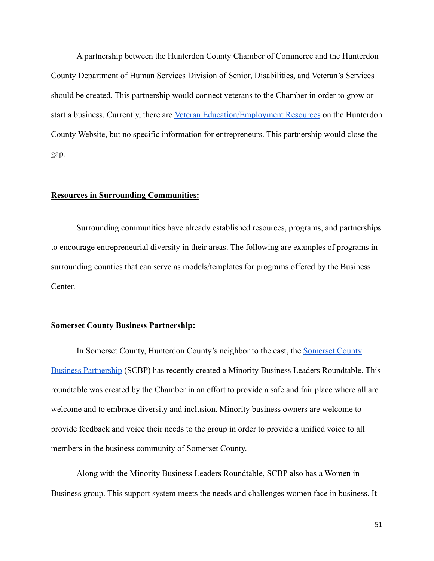A partnership between the Hunterdon County Chamber of Commerce and the Hunterdon County Department of Human Services Division of Senior, Disabilities, and Veteran's Services should be created. This partnership would connect veterans to the Chamber in order to grow or start a business. Currently, there are [Veteran Education/Employment](https://www.co.hunterdon.nj.us/aging/VeteransServices.html) Resources on the Hunterdon County Website, but no specific information for entrepreneurs. This partnership would close the gap.

#### **Resources in Surrounding Communities:**

Surrounding communities have already established resources, programs, and partnerships to encourage entrepreneurial diversity in their areas. The following are examples of programs in surrounding counties that can serve as models/templates for programs offered by the Business Center.

#### **Somerset County Business Partnership:**

In Somerset County, Hunterdon County's neighbor to the east, the [Somerset County](https://www.scbp.org) [Business Partnership](https://www.scbp.org) (SCBP) has recently created a Minority Business Leaders Roundtable. This roundtable was created by the Chamber in an effort to provide a safe and fair place where all are welcome and to embrace diversity and inclusion. Minority business owners are welcome to provide feedback and voice their needs to the group in order to provide a unified voice to all members in the business community of Somerset County.

Along with the Minority Business Leaders Roundtable, SCBP also has a Women in Business group. This support system meets the needs and challenges women face in business. It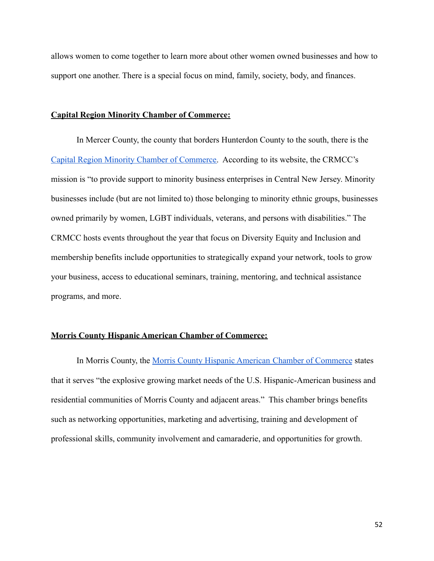allows women to come together to learn more about other women owned businesses and how to support one another. There is a special focus on mind, family, society, body, and finances.

#### **Capital Region Minority Chamber of Commerce:**

In Mercer County, the county that borders Hunterdon County to the south, there is the [Capital Region Minority Chamber of Commerce.](https://capitalregionminoritychamber.org/) According to its website, the CRMCC's mission is "to provide support to minority business enterprises in Central New Jersey. Minority businesses include (but are not limited to) those belonging to minority ethnic groups, businesses owned primarily by women, LGBT individuals, veterans, and persons with disabilities." The CRMCC hosts events throughout the year that focus on Diversity Equity and Inclusion and membership benefits include opportunities to strategically expand your network, tools to grow your business, access to educational seminars, training, mentoring, and technical assistance programs, and more.

#### **Morris County Hispanic American Chamber of Commerce:**

In Morris County, the [Morris County Hispanic American](https://mchacc.org/) Chamber of Commerce states that it serves "the explosive growing market needs of the U.S. Hispanic-American business and residential communities of Morris County and adjacent areas." This chamber brings benefits such as networking opportunities, marketing and advertising, training and development of professional skills, community involvement and camaraderie, and opportunities for growth.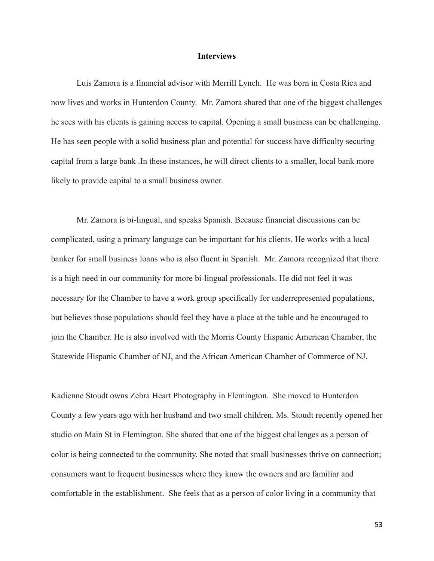#### **Interviews**

Luis Zamora is a financial advisor with Merrill Lynch. He was born in Costa Rica and now lives and works in Hunterdon County. Mr. Zamora shared that one of the biggest challenges he sees with his clients is gaining access to capital. Opening a small business can be challenging. He has seen people with a solid business plan and potential for success have difficulty securing capital from a large bank .In these instances, he will direct clients to a smaller, local bank more likely to provide capital to a small business owner.

Mr. Zamora is bi-lingual, and speaks Spanish. Because financial discussions can be complicated, using a primary language can be important for his clients. He works with a local banker for small business loans who is also fluent in Spanish. Mr. Zamora recognized that there is a high need in our community for more bi-lingual professionals. He did not feel it was necessary for the Chamber to have a work group specifically for underrepresented populations, but believes those populations should feel they have a place at the table and be encouraged to join the Chamber. He is also involved with the Morris County Hispanic American Chamber, the Statewide Hispanic Chamber of NJ, and the African American Chamber of Commerce of NJ.

Kadienne Stoudt owns Zebra Heart Photography in Flemington. She moved to Hunterdon County a few years ago with her husband and two small children. Ms. Stoudt recently opened her studio on Main St in Flemington. She shared that one of the biggest challenges as a person of color is being connected to the community. She noted that small businesses thrive on connection; consumers want to frequent businesses where they know the owners and are familiar and comfortable in the establishment. She feels that as a person of color living in a community that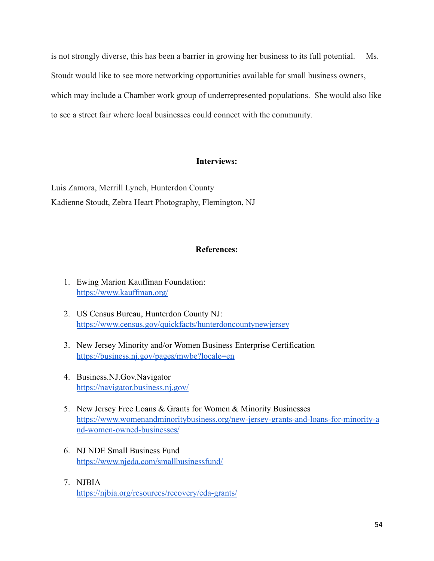is not strongly diverse, this has been a barrier in growing her business to its full potential. Ms. Stoudt would like to see more networking opportunities available for small business owners, which may include a Chamber work group of underrepresented populations. She would also like to see a street fair where local businesses could connect with the community.

## **Interviews:**

Luis Zamora, Merrill Lynch, Hunterdon County Kadienne Stoudt, Zebra Heart Photography, Flemington, NJ

## **References:**

- 1. Ewing Marion Kauffman Foundation: <https://www.kauffman.org/>
- 2. US Census Bureau, Hunterdon County NJ: <https://www.census.gov/quickfacts/hunterdoncountynewjersey>
- 3. New Jersey Minority and/or Women Business Enterprise Certification <https://business.nj.gov/pages/mwbe?locale=en>
- 4. Business.NJ.Gov.Navigator <https://navigator.business.nj.gov/>
- 5. New Jersey Free Loans & Grants for Women & Minority Businesses [https://www.womenandminoritybusiness.org/new-jersey-grants-and-loans-for-minority-a](https://www.womenandminoritybusiness.org/new-jersey-grants-and-loans-for-minority-and-women-owned-businesses/) [nd-women-owned-businesses/](https://www.womenandminoritybusiness.org/new-jersey-grants-and-loans-for-minority-and-women-owned-businesses/)
- 6. NJ NDE Small Business Fund <https://www.njeda.com/smallbusinessfund/>
- 7. NJBIA <https://njbia.org/resources/recovery/eda-grants/>